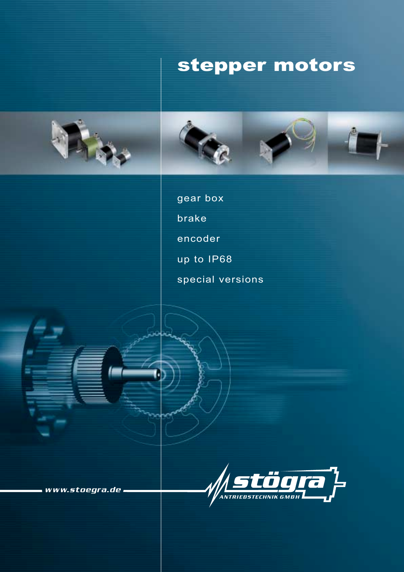# stepper motors





gear box

brake

encoder

up to IP68

special versions

www.stoegra.de.

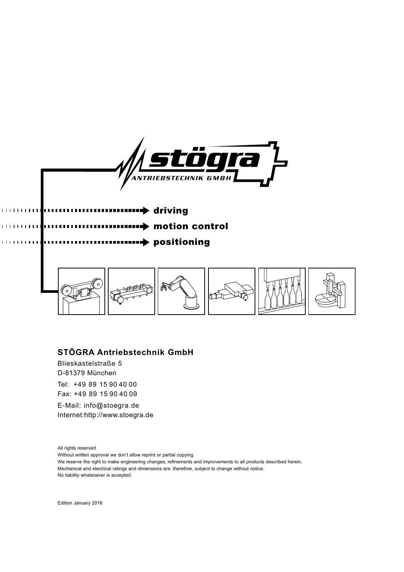

driving

a ma



motion control

### **STÖGRA Antriebstechnik GmbH**

Blieskastelstraße 5 D-81379 München Tel: +49 89 15 90 40 00 Fax: +49 89 15 90 40 09

E-Mail: info@stoegra.de Internet:http://www.stoegra.de

All rights reserved

r

Without written approval we don't allow reprint or partial copying.

We reserve the right to make engineering changes, refinements and improvements to all products described herein.

Mechanical and electrical ratings and dimensions are, therefore, subject to change without notice.

No liability whatsoever is accepted.

Edition January 2016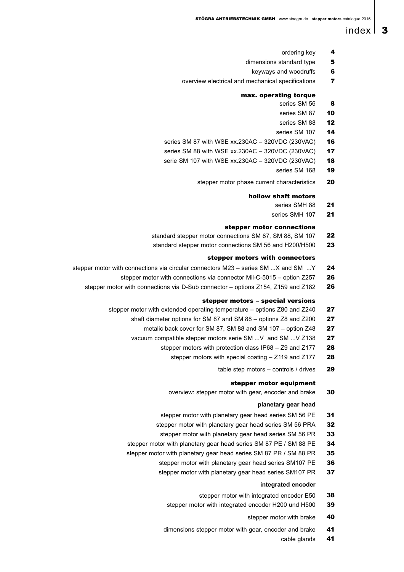### index  $\vert$  3

- ordering key 4
- dimensions standard type 5
	- keyways and woodruffs 6
- overview electrical and mechanical specifications 7

#### max. operating torque

- series SM 56
- series SM 87 10

8

- series SM 88 12
- series SM 107 14
- series SM 87 with WSE xx.230AC 320VDC (230VAC) 16
- series SM 88 with WSE xx.230AC 320VDC (230VAC) 17
- serie SM 107 with WSE xx.230AC 320VDC (230VAC) 18
	- series SM 168 19
	- stepper motor phase current characteristics 20

#### hollow shaft motors

- series SMH 88 21
- series SMH 107  $2<sub>1</sub>$

#### stepper motor connections

- standard stepper motor connections SM 87, SM 88, SM 107 22
- standard stepper motor connections SM 56 and H200/H500 23

#### stepper motors with connectors

- stepper motor with connections via circular connectors M23 series SM ...X and SM ...Y  $24$ 
	- stepper motor with connections via connector Mil-C-5015 option Z257 26
	- stepper motor with connections via D-Sub connector options Z154, Z159 and Z182 26

#### stepper motors – special versions

- stepper motor with extended operating temperature options Z80 and Z240 27
	- shaft diameter options for SM 87 and SM 88 options Z8 and Z200 27
		- metalic back cover for SM 87, SM 88 and SM 107 option Z48 27
	- vacuum compatible stepper motors serie SM ...V and SM ...V Z138 27
		- stepper motors with protection class IP68 Z9 and Z177 **28** 
			- stepper motors with special coating Z119 and Z177 28
				- table step motors controls / drives  $29$

#### stepper motor equipment

overview: stepper motor with gear, encoder and brake 30

#### **planetary gear head**

- stepper motor with planetary gear head series SM 56 PE 31
- stepper motor with planetary gear head series SM 56 PRA 32
	- stepper motor with planetary gear head series SM 56 PR 33
- stepper motor with planetary gear head series SM 87 PE / SM 88 PE 34
- stepper motor with planetary gear head series SM 87 PR / SM 88 PR 35
	- stepper motor with planetary gear head series SM107 PE 36
	- stepper motor with planetary gear head series SM107 PR 37

#### **integrated encoder**

- stepper motor with integrated encoder E50 38
- stepper motor with integrated encoder H200 und H500 39
	- stepper motor with brake 40
- dimensions stepper motor with gear, encoder and brake 41
	- cable glands 41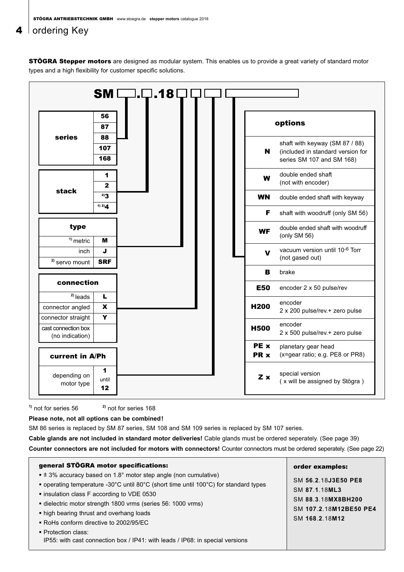### 4  $\vert$  ordering Key

**STÖGRA Stepper motors** are designed as modular system. This enables us to provide a great variety of standard motor types and a high flexibility for customer specific solutions.



**1)** not for series 56 **2)** not for series 168

 $\Gamma$ 

**Please note, not all options can be combined!**

SM 86 series is replaced by SM 87 series, SM 108 and SM 109 series is replaced by SM 107 series.

**Cable glands are not included in standard motor deliveries!** Cable glands must be ordered seperately. (See page 39)

**Counter connectors are not included for motors with connectors!** Counter connectors must be ordered seperately. (See page 22)

| general STÖGRA motor specifications:                                                                                                                                                                                                                                                                                                                                                                                                                                      | order examples:                                                                                        |
|---------------------------------------------------------------------------------------------------------------------------------------------------------------------------------------------------------------------------------------------------------------------------------------------------------------------------------------------------------------------------------------------------------------------------------------------------------------------------|--------------------------------------------------------------------------------------------------------|
| $\bullet$ ± 3% accuracy based on 1.8° motor step angle (non cumulative)<br>• operating temperature -30°C until 80°C (short time until 100°C) for standard types<br>• insulation class F according to VDE 0530<br>dielectric motor strength 1800 vrms (series 56: 1000 vrms)<br>• high bearing thrust and overhang loads<br>■ RoHs conform directive to 2002/95/EC<br>• Protection class:<br>IP55: with cast connection box / IP41: with leads / IP68: in special versions | SM 56.2.18J3E50 PE8<br>SM 87.1.18ML3<br>SM 88.3.18MX8BH200<br>SM 107.2.18M12BE50 PE4<br>SM 168.2.18M12 |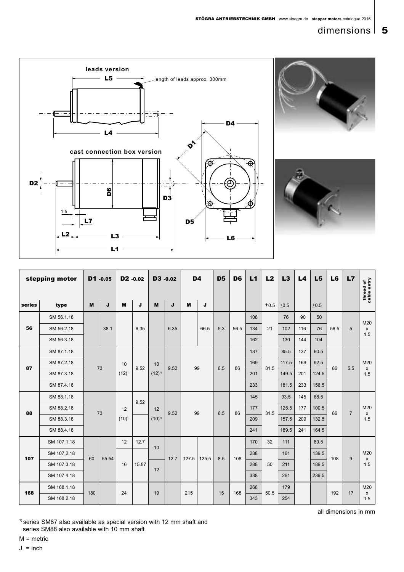### dimensions  $\vert 5$







|        | stepping motor |     | D1 -0.05 | D <sub>2</sub> -0.02 |       |            | D3 -0.02 |       | D <sub>4</sub> | D <sub>5</sub> | D <sub>6</sub> | L1  | L2     | L3    | L4  | L5    | L <sub>6</sub> | L7             | thread of<br>cable entry |
|--------|----------------|-----|----------|----------------------|-------|------------|----------|-------|----------------|----------------|----------------|-----|--------|-------|-----|-------|----------------|----------------|--------------------------|
| series | type           | M   | J        | M                    | J     | M          | J        | M     | J              |                |                |     | $+0.5$ | ±0.5  |     | ±0.5  |                |                |                          |
|        | SM 56.1.18     |     |          |                      |       |            |          |       |                |                |                | 108 |        | 76    | 90  | 50    |                |                | M20                      |
| 56     | SM 56.2.18     |     | 38.1     |                      | 6.35  |            | 6.35     |       | 66.5           | 5.3            | 56.5           | 134 | 21     | 102   | 116 | 76    | 56.5           | 5              | X<br>1.5                 |
|        | SM 56.3.18     |     |          |                      |       |            |          |       |                |                |                | 162 |        | 130   | 144 | 104   |                |                |                          |
|        | SM 87.1.18     |     |          |                      |       |            |          |       |                |                |                | 137 |        | 85.5  | 137 | 60.5  |                |                |                          |
| 87     | SM 87.2.18     |     | 73       | 10                   | 9.52  | 10         | 9.52     |       | 99             | 6.5            | 86             | 169 | 31.5   | 117.5 | 169 | 92.5  | 86             | 5.5            | M20<br>X                 |
|        | SM 87.3.18     |     |          | $(12)^{1}$           |       | $(12)^{1}$ |          |       |                |                |                | 201 |        | 149.5 | 201 | 124.5 |                |                | 1.5                      |
|        | SM 87.4.18     |     |          |                      |       |            |          |       |                |                |                | 233 |        | 181.5 | 233 | 156.5 |                |                |                          |
|        | SM 88.1.18     |     |          |                      | 9.52  |            |          |       |                |                |                | 145 |        | 93.5  | 145 | 68.5  |                |                |                          |
| 88     | SM 88.2.18     |     | 73       | 12                   |       | 12         | 9.52     |       | 99             | 6.5            | 86             | 177 | 31.5   | 125.5 | 177 | 100.5 | 86             | $\overline{7}$ | M20<br>X                 |
|        | SM 88.3.18     |     |          | $(10)^{1}$           |       | $(10)^{1}$ |          |       |                |                |                | 209 |        | 157.5 | 209 | 132.5 |                |                | 1.5                      |
|        | SM 88.4.18     |     |          |                      |       |            |          |       |                |                |                | 241 |        | 189.5 | 241 | 164.5 |                |                |                          |
|        | SM 107.1.18    |     |          | 12                   | 12.7  | 10         |          |       |                |                |                | 170 | 32     | 111   |     | 89.5  |                |                |                          |
| 107    | SM 107.2.18    | 60  | 55.54    |                      |       |            | 12.7     | 127.5 | 125.5          | 8.5            | 108            | 238 |        | 161   |     | 139.5 | 108            | 9              | M20<br>X                 |
|        | SM 107.3.18    |     |          | 16                   | 15.87 | 12         |          |       |                |                |                | 288 | 50     | 211   |     | 189.5 |                |                | 1.5                      |
|        | SM 107.4.18    |     |          |                      |       |            |          |       |                |                |                | 338 |        | 261   |     | 239.5 |                |                |                          |
| 168    | SM 168.1.18    | 180 |          | 24                   |       | 19         |          | 215   |                | 15             | 168            | 268 | 50.5   | 179   |     |       | 192            | 17             | M20                      |
|        | SM 168.2.18    |     |          |                      |       |            |          |       |                |                |                | 343 |        | 254   |     |       |                |                | x<br>1.5                 |

all dimensions in mm

 $1)$  series SM87 also available as special version with 12 mm shaft and series SM88 also available with 10 mm shaft

M = metric

 $J = inch$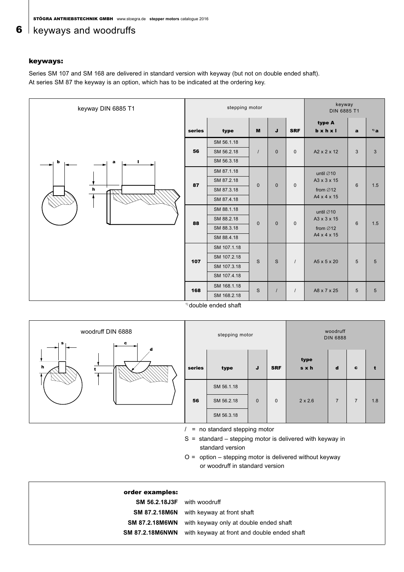### **6** keyways and woodruffs

#### keyways:

Series SM 107 and SM 168 are delivered in standard version with keyway (but not on double ended shaft). At series SM 87 the keyway is an option, which has to be indicated at the ordering key.

| keyway DIN 6885 T1 |        | stepping motor |              |              |              | keyway<br>DIN 6885 T1           |                 |                 |
|--------------------|--------|----------------|--------------|--------------|--------------|---------------------------------|-----------------|-----------------|
|                    | series | type           | M            | J            | <b>SRF</b>   | type A<br>$b \times h \times I$ | $\mathbf{a}$    | $1)$ a          |
|                    |        | SM 56.1.18     |              |              |              |                                 |                 |                 |
|                    | 56     | SM 56.2.18     | $\prime$     | $\mathbf{0}$ | $\mathbf{0}$ | A2 x 2 x 12                     | $\mathbf{3}$    | $\mathbf{3}$    |
| b<br>ш<br>a        |        | SM 56.3.18     |              |              |              |                                 |                 |                 |
|                    |        | SM 87.1.18     |              |              |              | until $\varnothing$ 10          |                 |                 |
|                    | 87     | SM 87.2.18     | $\mathbf{0}$ | $\mathbf{0}$ | $\mathbf{0}$ | A3 x 3 x 15                     | 6               | 1.5             |
| $\bm{h}$           |        | SM 87.3.18     |              |              |              | from $\varnothing$ 12           |                 |                 |
|                    |        | SM 87.4.18     |              |              |              | A4 x 4 x 15                     |                 |                 |
|                    |        | SM 88.1.18     |              |              |              | until $\varnothing$ 10          |                 |                 |
|                    | 88     | SM 88.2.18     | $\mathbf 0$  | $\mathbf{0}$ | $\mathbf{0}$ | A3 x 3 x 15                     | 6               | 1.5             |
|                    |        | SM 88.3.18     |              |              |              | from $\varnothing$ 12           |                 |                 |
|                    |        | SM 88.4.18     |              |              |              | A4 x 4 x 15                     |                 |                 |
|                    |        | SM 107.1.18    |              |              |              |                                 |                 |                 |
|                    | 107    | SM 107.2.18    | S            | $\mathbb S$  | $\prime$     | A5 x 5 x 20                     | $5\phantom{.0}$ | $5\phantom{1}$  |
|                    |        | SM 107.3.18    |              |              |              |                                 |                 |                 |
|                    |        | SM 107.4.18    |              |              |              |                                 |                 |                 |
|                    | 168    | SM 168.1.18    | S            | $\prime$     | $\prime$     | A8 x 7 x 25                     | $5\phantom{.0}$ | $5\overline{5}$ |
|                    |        | SM 168.2.18    |              |              |              |                                 |                 |                 |

<sup>1)</sup> double ended shaft

| s            | woodruff DIN 6888<br>$\mathbf{c}$ |        | stepping motor                 |             |             |                | woodruff<br><b>DIN 6888</b> |                |     |
|--------------|-----------------------------------|--------|--------------------------------|-------------|-------------|----------------|-----------------------------|----------------|-----|
| $\mathbf{h}$ | d                                 | series | type                           | J           | <b>SRF</b>  | type<br>sxh    | d                           | c              |     |
|              |                                   |        | SM 56.1.18                     |             |             |                |                             |                |     |
|              |                                   | 56     | SM 56.2.18                     | $\mathbf 0$ | $\mathbf 0$ | $2 \times 2.6$ | $\overline{7}$              | $\overline{7}$ | 1.8 |
|              |                                   |        | SM 56.3.18                     |             |             |                |                             |                |     |
|              |                                   |        | $=$ no standard stepping motor |             |             |                |                             |                |     |

no standard stepping motor

S = standard – stepping motor is delivered with keyway in standard version

 $O =$  option – stepping motor is delivered without keyway or woodruff in standard version

| order examples:                    |                                                              |
|------------------------------------|--------------------------------------------------------------|
| <b>SM 56.2.18J3F</b> with woodruff |                                                              |
|                                    | <b>SM 87.2.18M6N</b> with keyway at front shaft              |
|                                    | <b>SM 87.2.18M6WN</b> with keyway only at double ended shaft |
| <b>SM 87.2.18M6NWN</b>             | with keyway at front and double ended shaft                  |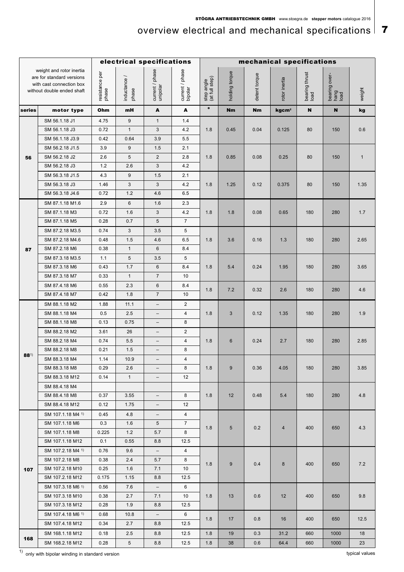## overview electrical and mechanical specifications  $\vert$  7

|          |                                                                                                                 |                         |                       | electrical specifications   |                            |                              |                | mechanical specifications |                   |                        |                               |              |
|----------|-----------------------------------------------------------------------------------------------------------------|-------------------------|-----------------------|-----------------------------|----------------------------|------------------------------|----------------|---------------------------|-------------------|------------------------|-------------------------------|--------------|
|          | weight and rotor inertia<br>are for standard versions<br>with cast connection box<br>without double ended shaft | resistance per<br>phase | inductance /<br>phase | current / phase<br>unipolar | current / phase<br>bipolar | step angle<br>(at full step) | holding torque | detent torque             | rotor inertia     | bearing thrust<br>load | bearing over-<br>hang<br>load | weight       |
| series   | motor type                                                                                                      | Ohm                     | mH                    | A                           | A                          | $\bullet$                    | Nm             | Nm                        | kgcm <sup>2</sup> | N                      | N                             | kg           |
|          | SM 56.1.18 J1                                                                                                   | 4.75                    | $9\,$                 | $\mathbf{1}$                | 1.4                        |                              |                |                           |                   |                        |                               |              |
|          | SM 56.1.18 J3                                                                                                   | 0.72                    | $\mathbf{1}$          | 3                           | 4.2                        | 1.8                          | 0.45           | 0.04                      | 0.125             | 80                     | 150                           | 0.6          |
|          | SM 56.1.18 J3.9                                                                                                 | 0.42                    | 0.64                  | 3.9                         | 5.5                        |                              |                |                           |                   |                        |                               |              |
|          | SM 56.2.18 J1.5                                                                                                 | 3.9                     | 9                     | 1.5                         | 2.1                        |                              |                |                           |                   |                        |                               |              |
| 56       | SM 56.2.18 J2                                                                                                   | 2.6                     | $\sqrt{5}$            | $\overline{2}$              | 2.8                        | 1.8                          | 0.85           | 0.08                      | 0.25              | 80                     | 150                           | $\mathbf{1}$ |
|          | SM 56.2.18 J3                                                                                                   | 1.2                     | 2.6                   | 3                           | 4.2                        |                              |                |                           |                   |                        |                               |              |
|          | SM 56.3.18 J1.5                                                                                                 | 4.3                     | $\boldsymbol{9}$      | 1.5                         | 2.1                        |                              |                |                           |                   |                        |                               |              |
|          | SM 56.3.18 J3                                                                                                   | 1.46                    | 3                     | $\mathbf{3}$                | 4.2                        | 1.8                          | 1.25           | 0.12                      | 0.375             | 80                     | 150                           | 1.35         |
|          | SM 56.3.18 J4.6                                                                                                 | 0.72                    | 1.2                   | 4.6                         | 6.5                        |                              |                |                           |                   |                        |                               |              |
|          | SM 87.1.18 M1.6                                                                                                 | 2.9                     | 6                     | 1.6                         | 2.3                        |                              |                |                           |                   |                        |                               |              |
|          | SM 87.1.18 M3                                                                                                   | 0.72                    | 1.6                   | 3                           | 4.2                        | 1.8                          | 1.8            | 0.08                      | 0.65              | 180                    | 280                           | 1.7          |
|          | SM 87.1.18 M5                                                                                                   | 0.28                    | 0.7                   | 5                           | $\overline{7}$             |                              |                |                           |                   |                        |                               |              |
|          | SM 87.2.18 M3.5                                                                                                 | 0.74                    | 3                     | 3.5                         | 5                          |                              |                |                           |                   |                        |                               |              |
|          | SM 87.2.18 M4.6                                                                                                 | 0.48                    | 1.5                   | 4.6                         | 6.5                        | 1.8                          | 3.6            | 0.16                      | 1.3               | 180                    | 280                           | 2.65         |
| 87       | SM 87.2.18 M6                                                                                                   | 0.38                    | $\mathbf{1}$          | 6                           | 8.4                        |                              |                |                           |                   |                        |                               |              |
|          | SM 87.3.18 M3.5                                                                                                 | 1.1                     | 5                     | 3.5                         | 5                          |                              |                |                           |                   |                        |                               |              |
|          | SM 87.3.18 M6                                                                                                   | 0.43                    | 1.7                   | 6                           | 8.4                        | 1.8                          | 5.4            | 0.24                      | 1.95              | 180                    | 280                           | 3.65         |
|          | SM 87.3.18 M7                                                                                                   | 0.33                    | $\mathbf{1}$          | $\overline{7}$              | 10                         |                              |                |                           |                   |                        |                               |              |
|          | SM 87.4.18 M6                                                                                                   | 0.55                    | 2.3                   | 6                           | 8.4                        | 1.8                          | 7.2            | 0.32                      | 2.6               | 180                    | 280                           | 4.6          |
|          | SM 87.4.18 M7                                                                                                   | 0.42                    | 1.8                   | $\overline{7}$              | 10                         |                              |                |                           |                   |                        |                               |              |
|          | SM 88.1.18 M2                                                                                                   | 1.88                    | 11.1                  | $\qquad \qquad -$           | $\overline{2}$             |                              |                |                           |                   |                        |                               |              |
|          | SM 88.1.18 M4                                                                                                   | 0.5                     | 2.5                   | $\overline{\phantom{a}}$    | 4                          | 1.8                          | $\sqrt{3}$     | 0.12                      | 1.35              | 180                    | 280                           | 1.9          |
|          | SM 88.1.18 M8                                                                                                   | 0.13                    | 0.75                  | $\overline{\phantom{a}}$    | 8                          |                              |                |                           |                   |                        |                               |              |
|          | SM 88.2.18 M2                                                                                                   | 3.61                    | 26                    | $\qquad \qquad -$           | $\overline{2}$             |                              |                |                           |                   |                        |                               |              |
|          | SM 88.2.18 M4                                                                                                   | 0.74                    | 5.5                   | $\qquad \qquad -$           | 4                          | 1.8                          | $\,6$          | 0.24                      | 2.7               | 180                    | 280                           | 2.85         |
| $88^{1}$ | SM 88.2.18 M8                                                                                                   | 0.21                    | 1.5                   | $\qquad \qquad -$           | 8                          |                              |                |                           |                   |                        |                               |              |
|          | SM 88.3.18 M4                                                                                                   | 1.14                    | 10.9                  |                             | 4                          |                              |                |                           |                   |                        |                               |              |
|          | SM 88.3.18 M8                                                                                                   | 0.29                    | 2.6                   | $\overline{\phantom{a}}$    | 8                          | 1.8                          | 9              | 0.36                      | 4.05              | 180                    | 280                           | 3.85         |
|          | SM 88.3.18 M12                                                                                                  | 0.14                    | 1                     | $\qquad \qquad -$           | 12                         |                              |                |                           |                   |                        |                               |              |
|          | SM 88.4.18 M4                                                                                                   |                         |                       |                             |                            |                              |                |                           |                   |                        |                               |              |
|          | SM 88.4.18 M8                                                                                                   | 0.37                    | 3.55                  | $\overline{\phantom{0}}$    | 8                          | 1.8                          | 12             | 0.48                      | 5.4               | 180                    | 280                           | 4.8          |
|          | SM 88.4.18 M12                                                                                                  | 0.12                    | 1.75                  | $\overline{\phantom{a}}$    | 12                         |                              |                |                           |                   |                        |                               |              |
|          | SM 107.1.18 M4 1)                                                                                               | 0.45                    | 4.8                   | $\qquad \qquad -$           | 4                          |                              |                |                           |                   |                        |                               |              |
|          | SM 107.1.18 M6                                                                                                  | 0.3                     | 1.6                   | 5                           | $\overline{7}$             | 1.8                          | 5              | 0.2                       | $\overline{4}$    | 400                    | 650                           | 4.3          |
|          | SM 107.1.18 M8                                                                                                  | 0.225                   | 1.2                   | 5.7                         | 8                          |                              |                |                           |                   |                        |                               |              |
|          | SM 107.1.18 M12                                                                                                 | 0.1                     | 0.55                  | 8.8                         | 12.5                       |                              |                |                           |                   |                        |                               |              |
|          | SM 107.2.18 M4 <sup>1)</sup>                                                                                    | 0.76                    | 9.6                   | $\overline{\phantom{a}}$    | 4                          |                              |                |                           |                   |                        |                               |              |
|          | SM 107.2.18 M8                                                                                                  | 0.38                    | 2.4                   | 5.7                         | 8                          | 1.8                          | 9              | 0.4                       | $\bf 8$           | 400                    | 650                           | 7.2          |
| 107      | SM 107.2.18 M10                                                                                                 | 0.25                    | 1.6                   | 7.1                         | 10                         |                              |                |                           |                   |                        |                               |              |
|          | SM 107.2.18 M12                                                                                                 | 0.175                   | 1.15                  | 8.8                         | 12.5                       |                              |                |                           |                   |                        |                               |              |
|          | SM 107.3.18 M6 <sup>1)</sup>                                                                                    | 0.56                    | 7.6                   | $\overline{\phantom{a}}$    | 6                          |                              |                |                           |                   |                        |                               |              |
|          | SM 107.3.18 M10                                                                                                 | 0.38                    | 2.7                   | 7.1                         | 10                         | 1.8                          | 13             | 0.6                       | 12                | 400                    | 650                           | 9.8          |
|          | SM 107.3.18 M12                                                                                                 | 0.28                    | 1.9                   | 8.8                         | 12.5                       |                              |                |                           |                   |                        |                               |              |
|          | SM 107.4.18 M6 <sup>1)</sup>                                                                                    | 0.68                    | 10.8                  | $\overline{\phantom{a}}$    | 6                          | 1.8                          | 17             | 0.8                       | 16                | 400                    | 650                           | 12.5         |
|          | SM 107.4.18 M12                                                                                                 | 0.34                    | 2.7                   | 8.8                         | 12.5                       |                              |                |                           |                   |                        |                               |              |
| 168      | SM 168.1.18 M12                                                                                                 | 0.18                    | 2.5                   | 8.8                         | 12.5                       | 1.8                          | 19             | 0.3                       | 31.2              | 660                    | 1000                          | 18           |
|          | SM 168.2.18 M12                                                                                                 | 0.28                    | 5 <sup>5</sup>        | 8.8                         | 12.5                       | 1.8                          | 38             | 0.6                       | 64.4              | 660                    | 1000                          | 23           |

typical values of the standard version that the standard version that we have a standard version typical values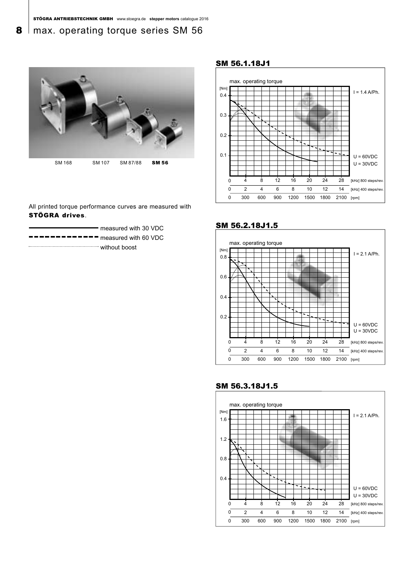### 8 | max. operating torque series SM 56



All printed torque performance curves are measured with STÖGRA drives.

|                                                                                                                                                                                                                                                                                                                                                                                                                                                                                            | measured with 30 VDC |
|--------------------------------------------------------------------------------------------------------------------------------------------------------------------------------------------------------------------------------------------------------------------------------------------------------------------------------------------------------------------------------------------------------------------------------------------------------------------------------------------|----------------------|
| $\blacksquare$ $\blacksquare$ $\blacksquare$ $\blacksquare$ $\blacksquare$ $\blacksquare$ $\blacksquare$ $\blacksquare$ $\blacksquare$ $\blacksquare$ $\blacksquare$ $\blacksquare$ $\blacksquare$ $\blacksquare$ $\blacksquare$ $\blacksquare$ $\blacksquare$ $\blacksquare$ $\blacksquare$ $\blacksquare$ $\blacksquare$ $\blacksquare$ $\blacksquare$ $\blacksquare$ $\blacksquare$ $\blacksquare$ $\blacksquare$ $\blacksquare$ $\blacksquare$ $\blacksquare$ $\blacksquare$ $\blacks$ |                      |
| without boost                                                                                                                                                                                                                                                                                                                                                                                                                                                                              |                      |

SM 56.1.18J1







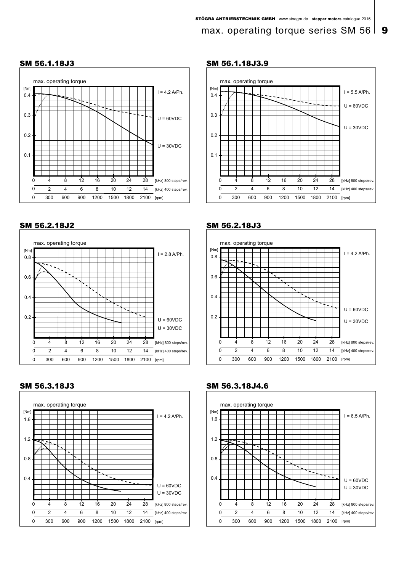### max. operating torque series SM 56  $\vert$  9



### SM 56.1.18J3

#### SM 56.2.18J2



SM 56.3.18J3



#### SM 56.1.18J3.9









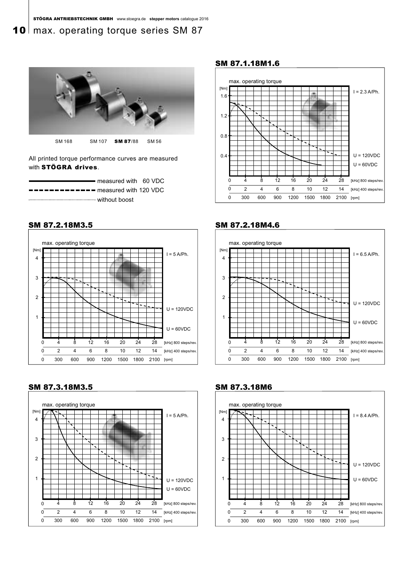### 10 max. operating torque series SM 87



All printed torque performance curves are measured with STÖGRA drives.

|                                                                                                                                                                                                                                                                                                                                                                                                                                                                                            | — measured with 60 VDC |  |
|--------------------------------------------------------------------------------------------------------------------------------------------------------------------------------------------------------------------------------------------------------------------------------------------------------------------------------------------------------------------------------------------------------------------------------------------------------------------------------------------|------------------------|--|
| $\blacksquare$ $\blacksquare$ $\blacksquare$ $\blacksquare$ $\blacksquare$ $\blacksquare$ $\blacksquare$ $\blacksquare$ $\blacksquare$ $\blacksquare$ $\blacksquare$ $\blacksquare$ $\blacksquare$ $\blacksquare$ $\blacksquare$ $\blacksquare$ $\blacksquare$ $\blacksquare$ $\blacksquare$ $\blacksquare$ $\blacksquare$ $\blacksquare$ $\blacksquare$ $\blacksquare$ $\blacksquare$ $\blacksquare$ $\blacksquare$ $\blacksquare$ $\blacksquare$ $\blacksquare$ $\blacksquare$ $\blacks$ |                        |  |
|                                                                                                                                                                                                                                                                                                                                                                                                                                                                                            |                        |  |



SM 87.3.18M3.5 SM 87.3.18M6



#### SM 87.1.18M1.6



#### SM 87.2.18M3.5 SM 87.2.18M4.6





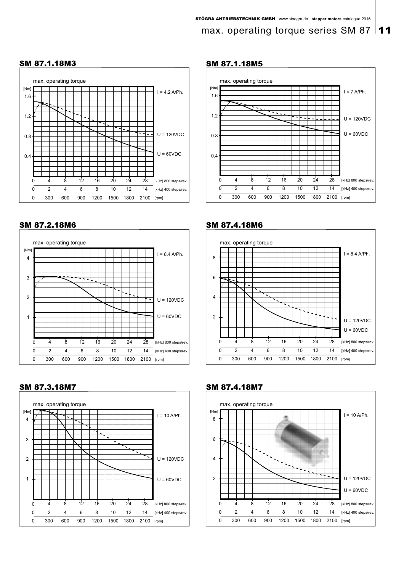### max. operating torque series SM 87 | 11



### SM 87.1.18M3

### SM 87.2.18M6



SM 87.3.18M7



### SM 87.1.18M5



#### SM 87.4.18M6





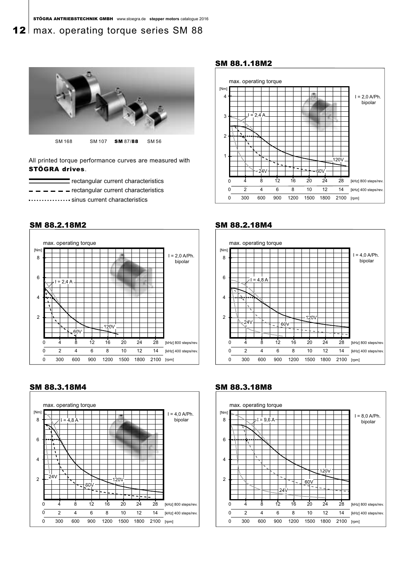### **12** max. operating torque series SM 88



All printed torque performance curves are measured with STÖGRA drives.

rectangular current characteristics

 $\frac{1}{r}$   $\frac{1}{r}$   $\frac{1}{r}$  =  $\frac{1}{r}$  rectangular current characteristics

............. sinus current characteristics



SM 88.3.18M4 SM 88.3.18M8



#### SM 88.1.18M2







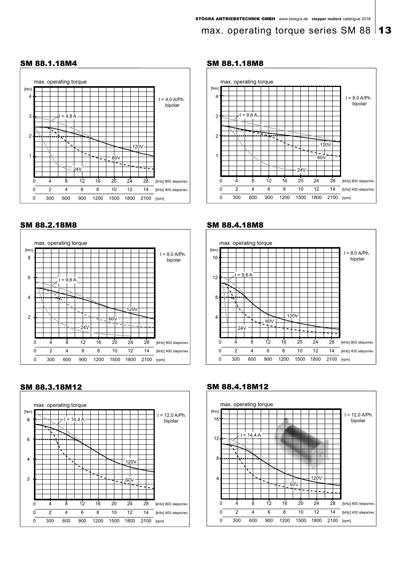### max. operating torque series SM 88 | **13**



#### SM 88.2.18M8





#### SM 88.1.18M4 SM 88.1.18M8









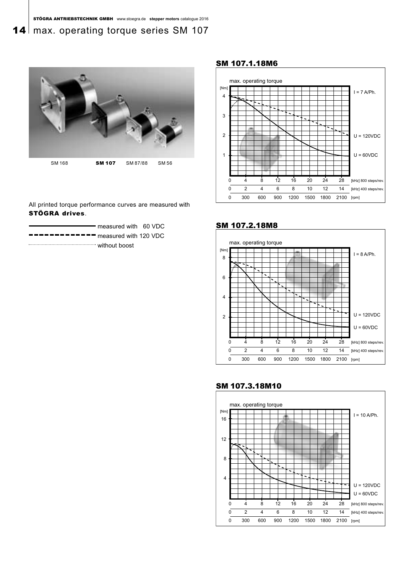### 14 max. operating torque series SM 107



### All printed torque performance curves are measured with STÖGRA drives.

| measured with 60 VDC                                                                                                                                                                                                                                                                                                                                                                                                                                                                       |  |
|--------------------------------------------------------------------------------------------------------------------------------------------------------------------------------------------------------------------------------------------------------------------------------------------------------------------------------------------------------------------------------------------------------------------------------------------------------------------------------------------|--|
| $\blacksquare$ $\blacksquare$ $\blacksquare$ $\blacksquare$ $\blacksquare$ $\blacksquare$ $\blacksquare$ $\blacksquare$ $\blacksquare$ $\blacksquare$ $\blacksquare$ $\blacksquare$ $\blacksquare$ $\blacksquare$ $\blacksquare$ $\blacksquare$ $\blacksquare$ $\blacksquare$ $\blacksquare$ $\blacksquare$ $\blacksquare$ $\blacksquare$ $\blacksquare$ $\blacksquare$ $\blacksquare$ $\blacksquare$ $\blacksquare$ $\blacksquare$ $\blacksquare$ $\blacksquare$ $\blacksquare$ $\blacks$ |  |
| without boost                                                                                                                                                                                                                                                                                                                                                                                                                                                                              |  |

#### SM 107.1.18M6



#### SM 107.2.18M8





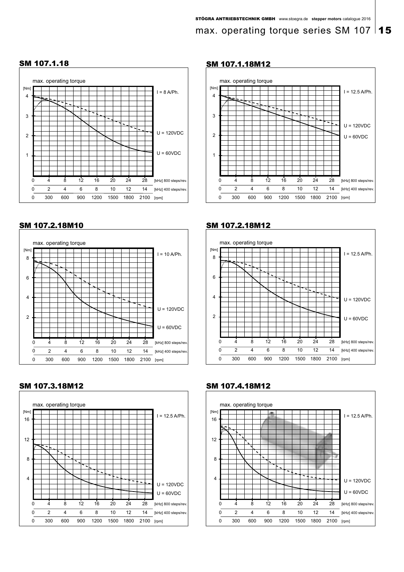### max. operating torque series SM 107 | 15

#### 0  $\overline{0}$ 0 300 600 900 1200 1500 1800 2100 [rpm] [kHz] 800 steps/rev. .<br>[kHz] 400 steps/rev. 4  $\overline{2}$ 8 4 12 6 8 10 12 14 16 20 24 28 max. operating torque max. operating torque  $I = 8$  A/Ph. U = 120VDC  $U = 60VDC$ 4 3 2 1 [Nm]

### SM 107.1.18 SM 107.1.18M12



### SM 107.2.18M10 SM 107.2.18M12



### SM 107.3.18M12 SM 107.4.18M12





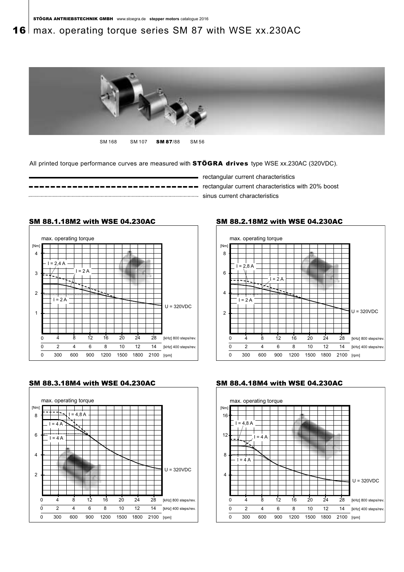### 16 | max. operating torque series SM 87 with WSE xx.230AC



SM 168 SM 107 **SM 87**/88 SM 56

All printed torque performance curves are measured with **STÖGRA drives** type WSE xx.230AC (320VDC).

[kHz] 800 steps/rev [kHz] 400 steps/rev

U = 320VDC



SM 88.1.18M2 with WSE 04.230AC

 $I = 2A$ 

- rectangular current characteristics







12

0 300 600 900 1200 1500 1800 2100 [rpm]

6 8 10 12 14 16 20 24 28

1

 $\theta$  $\overline{0}$ 

4 2

 $I = 2A$ 

8 4

max. operating torque

 $I = 2.4 A$ 

2

3

4

[Nm]





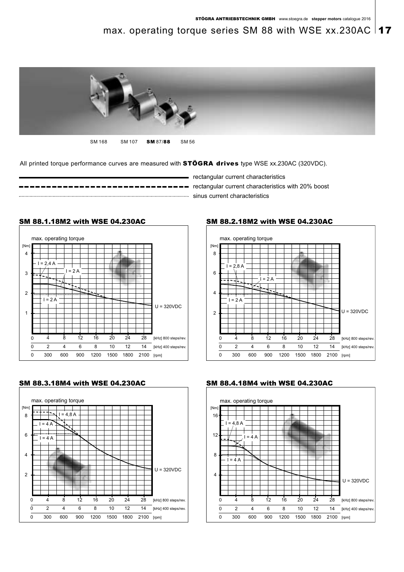### max. operating torque series SM 88 with WSE xx.230AC  $\vert$  17



SM 168 SM 107 SM 87/88 SM 56

All printed torque performance curves are measured with **STÖGRA drives** type WSE xx.230AC (320VDC).

**rectainer** correst contents with 20% boost  $\mathbf{r}$  **rectangular current characteristics with 20% boost** sinus current characteristics

- rectangular current characteristics











SM 88.2.18M2 with WSE 04.230AC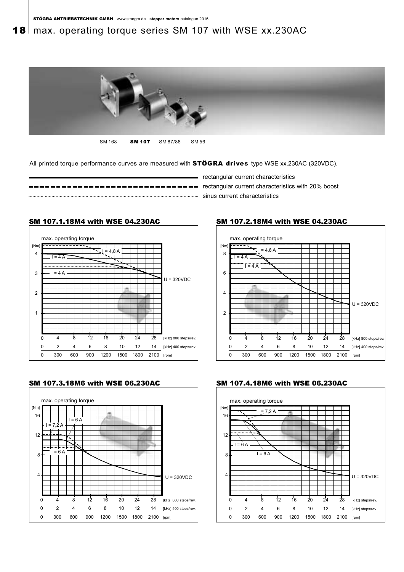### 18 | max. operating torque series SM 107 with WSE xx.230AC



SM 168 **SM 107** SM 87/88 SM 56

All printed torque performance curves are measured with **STÖGRA drives** type WSE xx.230AC (320VDC).



- rectangular current characteristics

max. operating torque

 $\overline{4}$   $\overline{4}$ 

I = 4 A

48A



## SM 107.1.18M4 with WSE 04.230AC



12

0 300 600 900 1200 1500 1800 2100 [rpm]

6 8 10 12 14 16 20 24 28 [kHz] 800 steps/rev [kHz] 400 steps/rev

U = 320VDC

 $\Omega$  $\overline{0}$ 

<u>ٰ،</u> 2

8 4



#### SM 107.3.18M6 with WSE 06.230AC SM 107.4.18M6 with WSE 06.230AC



SM 107.2.18M4 with WSE 04.230AC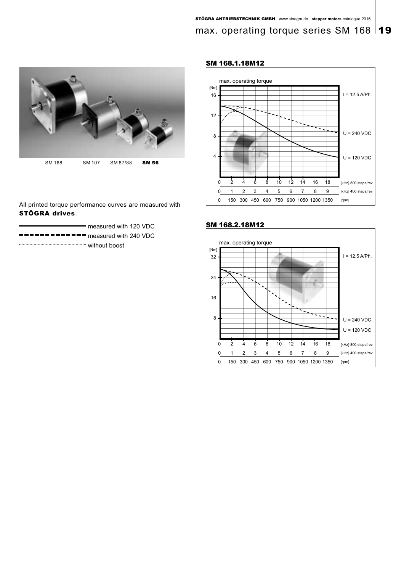### max. operating torque series SM 168



All printed torque performance curves are measured with STÖGRA drives.

|               | measured with 120 VDC                                                                                                                                                                                                                                                                                                                                                                                                                                                                      |
|---------------|--------------------------------------------------------------------------------------------------------------------------------------------------------------------------------------------------------------------------------------------------------------------------------------------------------------------------------------------------------------------------------------------------------------------------------------------------------------------------------------------|
|               | $\blacksquare$ $\blacksquare$ $\blacksquare$ $\blacksquare$ $\blacksquare$ $\blacksquare$ $\blacksquare$ $\blacksquare$ $\blacksquare$ $\blacksquare$ $\blacksquare$ $\blacksquare$ $\blacksquare$ $\blacksquare$ $\blacksquare$ $\blacksquare$ $\blacksquare$ $\blacksquare$ $\blacksquare$ $\blacksquare$ $\blacksquare$ $\blacksquare$ $\blacksquare$ $\blacksquare$ $\blacksquare$ $\blacksquare$ $\blacksquare$ $\blacksquare$ $\blacksquare$ $\blacksquare$ $\blacksquare$ $\blacks$ |
| without boost |                                                                                                                                                                                                                                                                                                                                                                                                                                                                                            |

#### SM 168.1.18M12





#### SM 168.2.18M12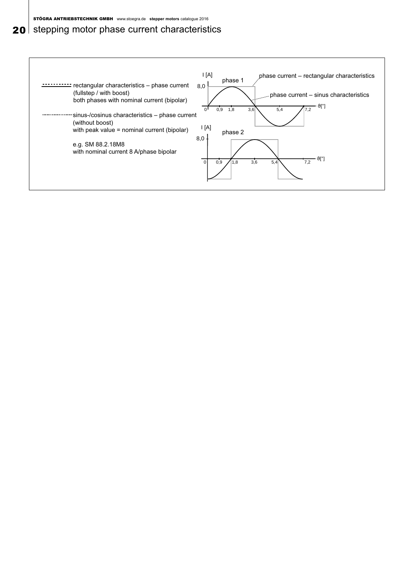### 20 stepping motor phase current characteristics

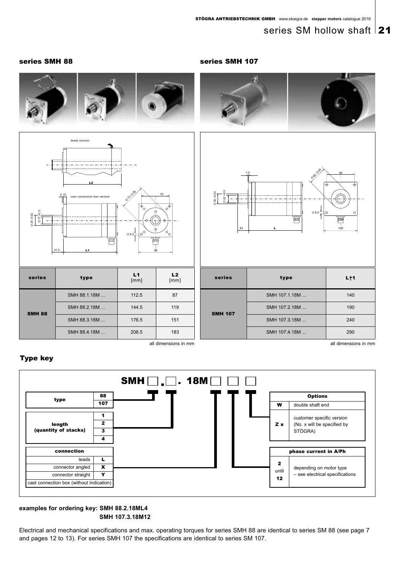### series SM hollow shaft 21

#### series SMH 88 series SMH 107





| series        | type         | L1<br>[mm] | L2<br>[mm] |  |
|---------------|--------------|------------|------------|--|
|               | SMH 88.1.18M | 112.5      | 87         |  |
| <b>SMH 88</b> | SMH 88.2.18M | 144.5      | 119        |  |
|               | SMH 88.3.18M | 176.5      | 151        |  |
|               | SMH 88.4.18M | 208.5      | 183        |  |

| $022 + 0.3$<br>$0.0 - 0.02$<br>$\varnothing$ 8.5 $\frac{1}{2}$<br>$\circ$<br>r<br>ᆖ<br>حضأ<br>108<br>43<br>L. |
|---------------------------------------------------------------------------------------------------------------|
|---------------------------------------------------------------------------------------------------------------|

| 86 | 70<br>$e^+$<br>$\Theta$<br>$\circ_{_{\mathsf{O}\,1}}$ | $\frac{3}{5}$<br>6000000<br>$\varnothing$ 22<br>43 | $\oslash$ 8.5 $\rightarrow$<br>دة<br>Ц | $\circ$<br>囲<br>108  |
|----|-------------------------------------------------------|----------------------------------------------------|----------------------------------------|----------------------|
|    | L2<br>[mm]                                            | series                                             | type                                   | $L+1$                |
|    | 87                                                    |                                                    | SMH 107.1.18M                          | 140                  |
|    | 119                                                   | <b>SMH 107</b>                                     | SMH 107.2.18M                          | 190                  |
|    | 151                                                   |                                                    | SMH 107.3.18M                          | 240                  |
|    | 183                                                   |                                                    | SMH 107.4.18M                          | 290                  |
|    | all dimensions in mm                                  |                                                    |                                        | all dimensions in mm |

#### Type key



#### **examples for ordering key: SMH 88.2.18ML4 SMH 107.3.18M12**

Electrical and mechanical specifications and max. operating torques for series SMH 88 are identical to series SM 88 (see page 7 and pages 12 to 13). For series SMH 107 the specifications are identical to series SM 107.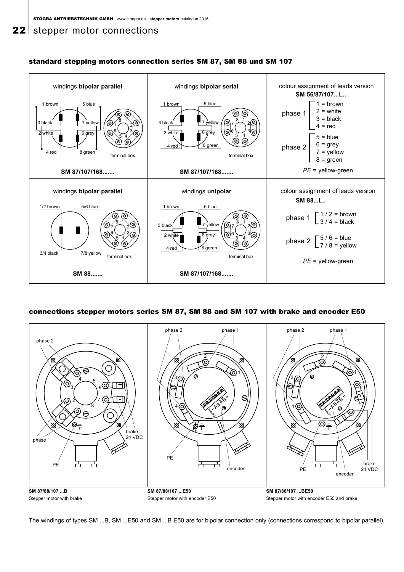### 22 stepper motor connections



#### standard stepping motors connection series SM 87, SM 88 und SM 107

#### connections stepper motors series SM 87, SM 88 and SM 107 with brake and encoder E50



The windings of types SM ...B, SM ...E50 and SM ...B E50 are for bipolar connection only (connections correspond to bipolar parallel).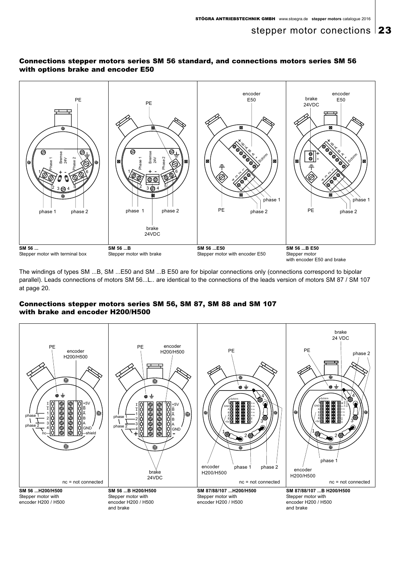#### Connections stepper motors series SM 56 standard, and connections motors series SM 56 with options brake and encoder E50



The windings of types SM ...B, SM ...E50 and SM ...B E50 are for bipolar connections only (connections correspond to bipolar parallel). Leads connections of motors SM 56...L.. are identical to the connections of the leads version of motors SM 87 / SM 107 at page 20.

### Connections stepper motors series SM 56, SM 87, SM 88 and SM 107 with brake and encoder H200/H500

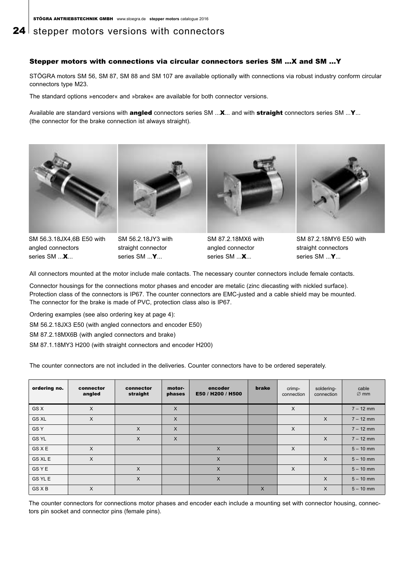### **24** stepper motors versions with connectors

#### Stepper motors with connections via circular connectors series SM ...X and SM ...Y

STÖGRA motors SM 56, SM 87, SM 88 and SM 107 are available optionally with connections via robust industry conform circular connectors type M23.

The standard options »encoder« and »brake« are available for both connector versions.

Available are standard versions with **angled** connectors series SM ...X... and with straight connectors series SM ...Y... (the connector for the brake connection ist always straight).



SM 56.3.18JX4,6B E50 with angled connectors series SM ...**X**...



SM 56.2.18JY3 with straight connector series SM ...**Y**...



SM 87.2.18MX6 with angled connector series SM ...**X**...



SM 87.2.18MY6 E50 with straight connectors series SM ...**Y**...

All connectors mounted at the motor include male contacts. The necessary counter connectors include female contacts.

Connector housings for the connections motor phases and encoder are metalic (zinc diecasting with nickled surface). Protection class of the connectors is IP67. The counter connectors are EMC-justed and a cable shield may be mounted. The connector for the brake is made of PVC, protection class also is IP67.

Ordering examples (see also ordering key at page 4):

SM 56.2.18JX3 E50 (with angled connectors and encoder E50)

SM 87.2.18MX6B (with angled connectors and brake)

SM 87.1.18MY3 H200 (with straight connectors and encoder H200)

The counter connectors are not included in the deliveries. Counter connectors have to be ordered seperately.

| ordering no.    | connector<br>angled | connector<br>straight | motor-<br>phases | encoder<br>E50 / H200 / H500 | brake    | crimp-<br>connection | soldering-<br>connection | cable<br>$\varnothing$ mm |
|-----------------|---------------------|-----------------------|------------------|------------------------------|----------|----------------------|--------------------------|---------------------------|
| GS X            | X                   |                       | $\times$         |                              |          | $\times$             |                          | $7 - 12$ mm               |
| <b>GS XL</b>    | $\times$            |                       | X                |                              |          |                      | $\times$                 | $7 - 12$ mm               |
| GS <sub>Y</sub> |                     | $\times$              | $\sf X$          |                              |          | $\times$             |                          | $7 - 12$ mm               |
| <b>GS YL</b>    |                     | $\times$              | X                |                              |          |                      | $\times$                 | $7 - 12$ mm               |
| <b>GS X E</b>   | $\times$            |                       |                  | $\mathsf{X}$                 |          | $\times$             |                          | $5 - 10$ mm               |
| GS XL E         | X                   |                       |                  | $\mathsf{X}$                 |          |                      | $\times$                 | $5 - 10$ mm               |
| <b>GSYE</b>     |                     | $\sf X$               |                  | $\times$                     |          | $\times$             |                          | $5 - 10$ mm               |
| GS YL E         |                     | $\mathsf{X}$          |                  | $\mathsf{X}$                 |          |                      | $\times$                 | $5 - 10$ mm               |
| <b>GS X B</b>   | X                   |                       |                  |                              | $\times$ |                      | X                        | $5 - 10$ mm               |

The counter connectors for connections motor phases and encoder each include a mounting set with connector housing, connectors pin socket and connector pins (female pins).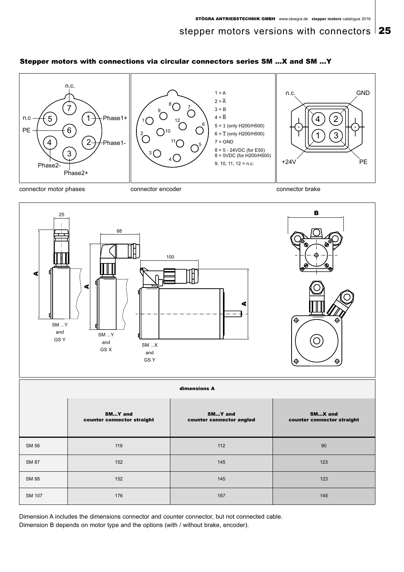#### Stepper motors with connections via circular connectors series SM ...X and SM ...Y



connector motor phases connector encoder connector encoder connector brake





Dimension A includes the dimensions connector and counter connector, but not connected cable. Dimension B depends on motor type and the options (with / without brake, encoder).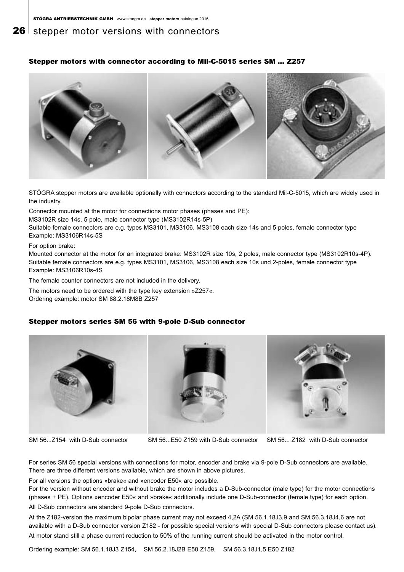### **26** stepper motor versions with connectors

#### Stepper motors with connector according to Mil-C-5015 series SM ... Z257



STÖGRA stepper motors are available optionally with connectors according to the standard Mil-C-5015, which are widely used in the industry.

Connector mounted at the motor for connections motor phases (phases and PE):

MS3102R size 14s, 5 pole, male connector type (MS3102R14s-5P)

Suitable female connectors are e.g. types MS3101, MS3106, MS3108 each size 14s and 5 poles, female connector type Example: MS3106R14s-5S

For option brake:

Mounted connector at the motor for an integrated brake: MS3102R size 10s, 2 poles, male connector type (MS3102R10s-4P). Suitable female connectors are e.g. types MS3101, MS3106, MS3108 each size 10s und 2-poles, female connector type Example: MS3106R10s-4S

The female counter connectors are not included in the delivery.

The motors need to be ordered with the type key extension »Z257«. Ordering example: motor SM 88.2.18M8B Z257

#### Stepper motors series SM 56 with 9-pole D-Sub connector



SM 56...Z154 with D-Sub connector SM 56...E50 Z159 with D-Sub connector SM 56... Z182 with D-Sub connector

For series SM 56 special versions with connections for motor, encoder and brake via 9-pole D-Sub connectors are available. There are three different versions available, which are shown in above pictures.

For all versions the options »brake« and »encoder E50« are possible.

For the version without encoder and without brake the motor includes a D-Sub-connector (male type) for the motor connections (phases + PE). Options »encoder E50« and »brake« additionally include one D-Sub-connector (female type) for each option.

All D-Sub connectors are standard 9-pole D-Sub connectors.

At the Z182-version the maximum bipolar phase current may not exceed 4,2A (SM 56.1.18J3,9 and SM 56.3.18J4,6 are not available with a D-Sub connector version Z182 - for possible special versions with special D-Sub connectors please contact us). At motor stand still a phase current reduction to 50% of the running current should be activated in the motor control.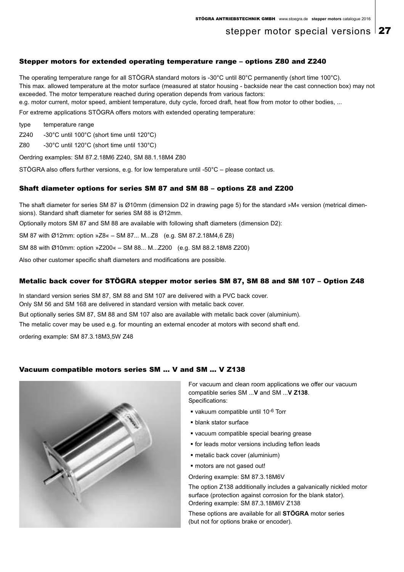### stepper motor special versions  $27$

#### Stepper motors for extended operating temperature range – options Z80 and Z240

The operating temperature range for all STÖGRA standard motors is -30°C until 80°C permanently (short time 100°C). This max. allowed temperature at the motor surface (measured at stator housing - backside near the cast connection box) may not exceeded. The motor temperature reached during operation depends from various factors: e.g. motor current, motor speed, ambient temperature, duty cycle, forced draft, heat flow from motor to other bodies, ...

For extreme applications STÖGRA offers motors with extended operating temperature:

type temperature range

Z240 -30°C until 100°C (short time until 120°C)

Z80 -30°C until 120°C (short time until 130°C)

Oerdring examples: SM 87.2.18M6 Z240, SM 88.1.18M4 Z80

STÖGRA also offers further versions, e.g. for low temperature until -50°C – please contact us.

#### Shaft diameter options for series SM 87 and SM 88 – options Z8 and Z200

The shaft diameter for series SM 87 is Ø10mm (dimension D2 in drawing page 5) for the standard »M« version (metrical dimensions). Standard shaft diameter for series SM 88 is Ø12mm.

Optionally motors SM 87 and SM 88 are available with following shaft diameters (dimension D2):

SM 87 with Ø12mm: option »Z8« – SM 87... M...Z8 (e.g. SM 87.2.18M4,6 Z8)

SM 88 with Ø10mm: option »Z200« – SM 88... M...Z200 (e.g. SM 88.2.18M8 Z200)

Also other customer specific shaft diameters and modifications are possible.

#### Metalic back cover for STÖGRA stepper motor series SM 87, SM 88 and SM 107 – Option Z48

In standard version series SM 87, SM 88 and SM 107 are delivered with a PVC back cover.

Only SM 56 and SM 168 are delivered in standard version with metalic back cover.

But optionally series SM 87, SM 88 and SM 107 also are available with metalic back cover (aluminium).

The metalic cover may be used e.g. for mounting an external encoder at motors with second shaft end.

ordering example: SM 87.3.18M3,5W Z48

#### Vacuum compatible motors series SM ... V and SM ... V Z138



For vacuum and clean room applications we offer our vacuum compatible series SM ...**V** and SM ...**V Z138**. Specifications:

- vakuum compatible until 10-6 Torr
- **blank stator surface**
- vacuum compatible special bearing grease
- **for leads motor versions including teflon leads**
- metalic back cover (aluminium)
- motors are not gased out!
- Ordering example: SM 87.3.18M6V

The option Z138 additionally includes a galvanically nickled motor surface (protection against corrosion for the blank stator). Ordering example: SM 87.3.18M6V Z138

These options are available for all **STÖGRA** motor series (but not for options brake or encoder).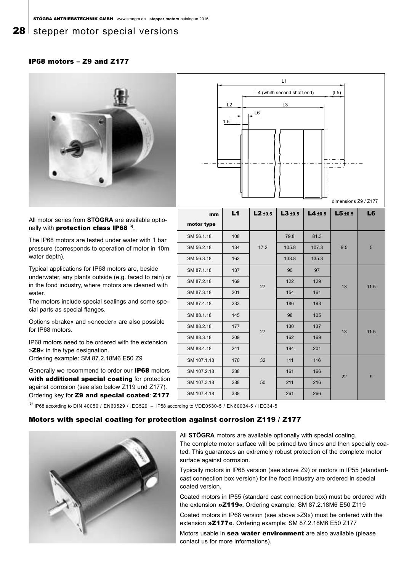### **28** stepper motor special versions

#### IP68 motors – Z9 and Z177



 $\overline{11}$ L4 (whith second shaft end) (L5) L3 L6 1.5 L2

All motor series from **STÖGRA** are available optionally with protection class IP68 **3)**.

The IP68 motors are tested under water with 1 bar pressure (corresponds to operation of motor in 10m water depth).

Typical applications for IP68 motors are, beside underwater, any plants outside (e.g. faced to rain) or in the food industry, where motors are cleaned with water.

The motors include special sealings and some special parts as special flanges.

Options »brake« and »encoder« are also possible for IP68 motors.

IP68 motors need to be ordered with the extension »Z9« in the type designation. Ordering example: SM 87.2.18M6 E50 Z9

Generally we recommend to order our IP68 motors with additional special coating for protection against corrosion (see also below Z119 und Z177). Ordering key for Z9 and special coated: Z177

|             |     |              |              |              | dimensions Z9 / Z177 |                 |
|-------------|-----|--------------|--------------|--------------|----------------------|-----------------|
| mm          | L1  | $L2 \pm 0.5$ | $L3 \pm 0.5$ | $L4 \pm 0.5$ | $L5 \pm 0.5$         | L <sub>6</sub>  |
| motor type  |     |              |              |              |                      |                 |
| SM 56.1.18  | 108 |              | 79.8         | 81.3         |                      |                 |
| SM 56.2.18  | 134 | 17.2         | 105.8        | 107.3        | 9.5                  | $5\phantom{.0}$ |
| SM 56.3.18  | 162 |              | 133.8        | 135.3        |                      |                 |
| SM 87.1.18  | 137 |              | 90           | 97           |                      |                 |
| SM 87.2.18  | 169 | 27           | 122          | 129          | 13                   | 11.5            |
| SM 87.3.18  | 201 |              | 154          | 161          |                      |                 |
| SM 87.4.18  | 233 |              | 186          | 193          |                      |                 |
| SM 88.1.18  | 145 |              | 98           | 105          |                      |                 |
| SM 88.2.18  | 177 | 27           | 130          | 137          | 13                   | 11.5            |
| SM 88.3.18  | 209 |              | 162          | 169          |                      |                 |
| SM 88.4.18  | 241 |              | 194          | 201          |                      |                 |
| SM 107.1.18 | 170 | 32           | 111          | 116          |                      |                 |
| SM 107.2.18 | 238 |              | 161          | 166          | 22                   |                 |
| SM 107.3.18 | 288 | 50           | 211          | 216          |                      | 9               |
| SM 107.4.18 | 338 |              | 261          | 266          |                      |                 |

**3)** IP68 according to DIN 40050 / EN60529 / IEC529 – IP58 according to VDE0530-5 / EN60034-5 / IEC34-5

#### Motors with special coating for protection against corrosion Z119 / Z177



All **STÖGRA** motors are available optionally with special coating. The complete motor surface will be primed two times and then specially coated. This guarantees an extremely robust protection of the complete motor surface against corrosion.

Typically motors in IP68 version (see above Z9) or motors in IP55 (standardcast connection box version) for the food industry are ordered in special coated version.

Coated motors in IP55 (standard cast connection box) must be ordered with the extension »Z119«. Ordering example: SM 87.2.18M6 E50 Z119

Coated motors in IP68 version (see above »Z9«) must be ordered with the extension »Z177«. Ordering example: SM 87.2.18M6 E50 Z177

Motors usable in sea water environment are also available (please contact us for more informations).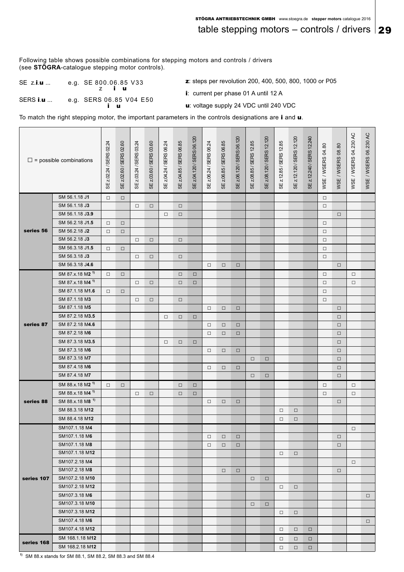table stepping motors – controls / drivers  $|29$ 

Following table shows possible combinations for stepping motors and controls / drivers (see **STÖGRA**-catalogue stepping motor controls).

SE z.i.u ... e.g. SE 800.06.85 V33 z i u SERS i.u ... e.g. SERS 06.85 V04 E50 z: steps per revolution 200, 400, 500, 800, 1000 or P05

i: current per phase 01 A until 12 A

i u

u: voltage supply 24 VDC until 240 VDC

To match the right stepping motor, the important parameters in the controls designations are i and u.

|            | $\square$ = possible combinations | SE z.02.24 / SERS 02.24 | SE z.02.60 / SERS 02.60 | SE z.03.24 / SERS 03.24 | SE z.03.60 / SERS 03.60 | SE z.04.24 / SERS 06.24 | SE z.04.85 / SERS 06.85 | SE z.04.120 / SERS 06.120 | SE z.06.24 / SERS 06.24 | SE z.06.85 / SERS 06.85 | SE z.06.120 / SERS 06.120 | SE z.08.85 / SERS 12.85 | SE z.08.120 / SERS 12.120 | SE z.12.85 / SERS 12.85 | SE z.12.120/SERS 12.120 | SE z.12.240 / SERS 12.240 | WSE / WSERS 04.80 | WSE / WSERS 08.80 | WSE / WSERS 04.230 AC | WSE / WSERS 06.230 AC |
|------------|-----------------------------------|-------------------------|-------------------------|-------------------------|-------------------------|-------------------------|-------------------------|---------------------------|-------------------------|-------------------------|---------------------------|-------------------------|---------------------------|-------------------------|-------------------------|---------------------------|-------------------|-------------------|-----------------------|-----------------------|
|            | SM 56.1.18 J1                     | $\Box$                  | $\Box$                  |                         |                         |                         |                         |                           |                         |                         |                           |                         |                           |                         |                         |                           | $\Box$            |                   |                       |                       |
|            | SM 56.1.18 J3                     |                         |                         | $\Box$                  | $\Box$                  |                         | $\Box$                  |                           |                         |                         |                           |                         |                           |                         |                         |                           | $\Box$            |                   |                       |                       |
|            | SM 56.1.18 J3.9                   |                         |                         |                         |                         | $\Box$                  | $\Box$                  |                           |                         |                         |                           |                         |                           |                         |                         |                           |                   | $\Box$            |                       |                       |
|            | SM 56.2.18 J1.5                   | $\Box$                  | $\Box$                  |                         |                         |                         |                         |                           |                         |                         |                           |                         |                           |                         |                         |                           | $\Box$            |                   |                       |                       |
| series 56  | SM 56.2.18 J2                     | $\Box$                  | $\Box$                  |                         |                         |                         |                         |                           |                         |                         |                           |                         |                           |                         |                         |                           | $\Box$            |                   |                       |                       |
|            | SM 56.2.18 J3                     |                         |                         | $\Box$                  | $\Box$                  |                         | $\Box$                  |                           |                         |                         |                           |                         |                           |                         |                         |                           | $\Box$            |                   |                       |                       |
|            | SM 56.3.18 J1.5                   | $\Box$                  | $\Box$                  |                         |                         |                         |                         |                           |                         |                         |                           |                         |                           |                         |                         |                           | $\Box$            |                   |                       |                       |
|            | SM 56.3.18 J3                     |                         |                         | $\Box$                  | $\Box$                  |                         | $\Box$                  |                           |                         |                         |                           |                         |                           |                         |                         |                           | $\Box$            |                   |                       |                       |
|            | SM 56.3.18 J4.6                   |                         |                         |                         |                         |                         |                         |                           | $\Box$                  | $\Box$                  | $\Box$                    |                         |                           |                         |                         |                           |                   | $\Box$            |                       |                       |
|            | SM 87.x.18 M2 <sup>1)</sup>       | $\Box$                  | $\Box$                  |                         |                         |                         | $\Box$                  | $\Box$                    |                         |                         |                           |                         |                           |                         |                         |                           | $\Box$            |                   | $\Box$                |                       |
|            | SM 87.x.18 M4 <sup>1)</sup>       |                         |                         | $\Box$                  | $\Box$                  |                         | $\Box$                  | $\Box$                    |                         |                         |                           |                         |                           |                         |                         |                           | $\Box$            |                   | $\Box$                |                       |
|            | SM 87.1.18 M1.6                   | $\Box$                  | $\Box$                  |                         |                         |                         |                         |                           |                         |                         |                           |                         |                           |                         |                         |                           | $\Box$            |                   |                       |                       |
|            | SM 87.1.18 M3                     |                         |                         | $\Box$                  | $\Box$                  |                         | $\Box$                  |                           |                         |                         |                           |                         |                           |                         |                         |                           | $\Box$            |                   |                       |                       |
|            | SM 87.1.18 M5                     |                         |                         |                         |                         |                         |                         |                           | $\Box$                  | $\Box$                  | $\Box$                    |                         |                           |                         |                         |                           |                   | $\Box$            |                       |                       |
|            | SM 87.2.18 M3.5                   |                         |                         |                         |                         | $\Box$                  | $\Box$                  | $\Box$                    |                         |                         |                           |                         |                           |                         |                         |                           |                   | $\Box$            |                       |                       |
| series 87  | SM 87.2.18 M4.6                   |                         |                         |                         |                         |                         |                         |                           | $\Box$                  | $\Box$                  | $\Box$                    |                         |                           |                         |                         |                           |                   | $\Box$            |                       |                       |
|            | SM 87.2.18 M6                     |                         |                         |                         |                         |                         |                         |                           | $\Box$                  | $\Box$                  | $\Box$                    |                         |                           |                         |                         |                           |                   | $\Box$            |                       |                       |
|            | SM 87.3.18 M3.5                   |                         |                         |                         |                         | $\Box$                  | $\Box$                  | $\Box$                    |                         |                         |                           |                         |                           |                         |                         |                           |                   | $\Box$            |                       |                       |
|            | SM 87.3.18 M6<br>SM 87.3.18 M7    |                         |                         |                         |                         |                         |                         |                           | $\Box$                  | $\Box$                  | $\Box$                    |                         |                           |                         |                         |                           |                   | $\Box$            |                       |                       |
|            | SM 87.4.18 M6                     |                         |                         |                         |                         |                         |                         |                           |                         |                         |                           | $\Box$                  | $\Box$                    |                         |                         |                           |                   | $\Box$            |                       |                       |
|            | SM 87.4.18 M7                     |                         |                         |                         |                         |                         |                         |                           | $\Box$                  | $\Box$                  | $\Box$                    | □                       | $\Box$                    |                         |                         |                           |                   | $\Box$<br>$\Box$  |                       |                       |
|            | SM 88.x.18 M2 <sup>1)</sup>       |                         |                         |                         |                         |                         |                         |                           |                         |                         |                           |                         |                           |                         |                         |                           |                   |                   |                       |                       |
|            | SM 88.x.18 M4 <sup>1)</sup>       | $\Box$                  | $\Box$                  | $\Box$                  | $\Box$                  |                         | $\Box$<br>$\Box$        | $\Box$<br>$\Box$          |                         |                         |                           |                         |                           |                         |                         |                           | $\Box$<br>$\Box$  |                   | $\Box$<br>$\Box$      |                       |
| series 88  | SM 88.x.18 M8 <sup>1)</sup>       |                         |                         |                         |                         |                         |                         |                           | $\Box$                  | $\Box$                  | $\Box$                    |                         |                           |                         |                         |                           |                   | $\Box$            |                       |                       |
|            | SM 88.3.18 M12                    |                         |                         |                         |                         |                         |                         |                           |                         |                         |                           |                         |                           | □                       | $\Box$                  |                           |                   |                   |                       |                       |
|            | SM 88.4.18 M12                    |                         |                         |                         |                         |                         |                         |                           |                         |                         |                           |                         |                           | □                       | $\Box$                  |                           |                   |                   |                       |                       |
|            | SM107.1.18 M4                     |                         |                         |                         |                         |                         |                         |                           |                         |                         |                           |                         |                           |                         |                         |                           |                   |                   | $\Box$                |                       |
|            | SM107.1.18 M6                     |                         |                         |                         |                         |                         |                         |                           | $\Box$                  | $\Box$                  | $\Box$                    |                         |                           |                         |                         |                           |                   | $\Box$            |                       |                       |
|            | SM107.1.18 M8                     |                         |                         |                         |                         |                         |                         |                           | $\Box$                  | $\Box$                  | $\Box$                    |                         |                           |                         |                         |                           |                   | $\Box$            |                       |                       |
|            | SM107.1.18 M12                    |                         |                         |                         |                         |                         |                         |                           |                         |                         |                           |                         |                           | □                       | $\Box$                  |                           |                   |                   |                       |                       |
|            | SM107.2.18 M4                     |                         |                         |                         |                         |                         |                         |                           |                         |                         |                           |                         |                           |                         |                         |                           |                   |                   | $\Box$                |                       |
|            | SM107.2.18 M8                     |                         |                         |                         |                         |                         |                         |                           |                         | $\Box$                  | $\Box$                    |                         |                           |                         |                         |                           |                   | $\Box$            |                       |                       |
| series 107 | SM107.2.18 M10                    |                         |                         |                         |                         |                         |                         |                           |                         |                         |                           | $\Box$                  | $\Box$                    |                         |                         |                           |                   |                   |                       |                       |
|            | SM107.2.18 M12                    |                         |                         |                         |                         |                         |                         |                           |                         |                         |                           |                         |                           | $\Box$                  | $\Box$                  |                           |                   |                   |                       |                       |
|            | SM107.3.18 M6                     |                         |                         |                         |                         |                         |                         |                           |                         |                         |                           |                         |                           |                         |                         |                           |                   |                   |                       | $\Box$                |
|            | SM107.3.18 M10                    |                         |                         |                         |                         |                         |                         |                           |                         |                         |                           | $\Box$                  | $\Box$                    |                         |                         |                           |                   |                   |                       |                       |
|            | SM107.3.18 M12                    |                         |                         |                         |                         |                         |                         |                           |                         |                         |                           |                         |                           | □                       | $\Box$                  |                           |                   |                   |                       |                       |
|            | SM107.4.18 M6                     |                         |                         |                         |                         |                         |                         |                           |                         |                         |                           |                         |                           |                         |                         |                           |                   |                   |                       | $\Box$                |
|            | SM107.4.18 M12                    |                         |                         |                         |                         |                         |                         |                           |                         |                         |                           |                         |                           | □                       | $\Box$                  | $\Box$                    |                   |                   |                       |                       |
|            | SM 168.1.18 M12                   |                         |                         |                         |                         |                         |                         |                           |                         |                         |                           |                         |                           | □                       | $\Box$                  | $\Box$                    |                   |                   |                       |                       |
| series 168 | SM 168.2.18 M12                   |                         |                         |                         |                         |                         |                         |                           |                         |                         |                           |                         |                           | $\Box$                  | $\Box$                  | $\Box$                    |                   |                   |                       |                       |

**1)** SM 88.x stands for SM 88.1, SM 88.2, SM 88.3 and SM 88.4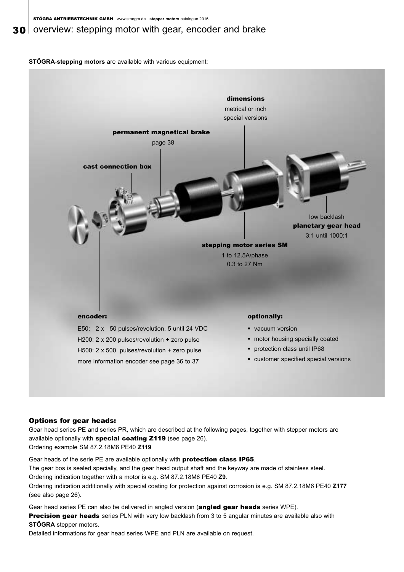### **30** overview: stepping motor with gear, encoder and brake

**STÖGRA**-**stepping motors** are available with various equipment:



#### Options for gear heads:

Gear head series PE and series PR, which are described at the following pages, together with stepper motors are available optionally with special coating Z119 (see page 26). Ordering example SM 87.2.18M6 PE40 **Z119**

Gear heads of the serie PE are available optionally with **protection class IP65.** The gear bos is sealed specially, and the gear head output shaft and the keyway are made of stainless steel. Ordering indication together with a motor is e.g. SM 87.2.18M6 PE40 **Z9**. Ordering indication additionally with special coating for protection against corrosion is e.g. SM 87.2.18M6 PE40 **Z177** (see also page 26).

Gear head series PE can also be delivered in angled version (angled gear heads series WPE). Precision gear heads series PLN with very low backlash from 3 to 5 angular minutes are available also with **STÖGRA** stepper motors.

Detailed informations for gear head series WPE and PLN are available on request.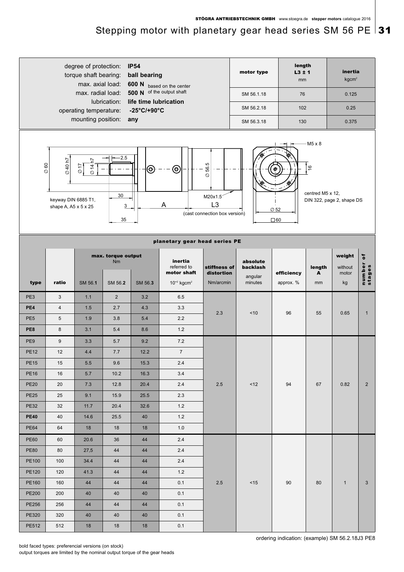### Stepping motor with planetary gear head series SM 56 PE  $|31$



bold faced types: preferencial versions (on stock) output torques are limited by the nominal output torque of the gear heads ordering indication: (example) SM 56.2.18J3 PE8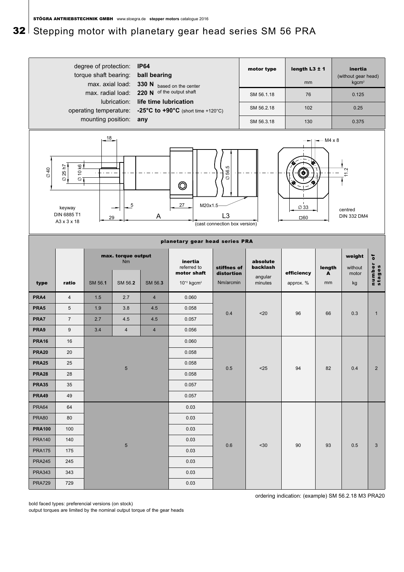## 32 Stepping motor with planetary gear head series SM 56 PRA

|                      |                                                                                                        | degree of protection:<br>torque shaft bearing:<br>max. axial load:<br>max. radial load:<br>operating temperature:<br>mounting position: | lubrication:                               | <b>IP64</b><br>ball bearing<br>life time lubrication<br>any | 330 N based on the center<br>220 N of the output shaft<br>-25°C to $+90^{\circ}$ C (short time +120°C) |                                                  | motor type<br>SM 56.1.18<br>SM 56.2.18<br>SM 56.3.18                                                                       | length $L3 \pm 1$<br>mm<br>76<br>102<br>130 |                | inertia<br>(without gear head)<br>kgcm <sup>2</sup><br>0.125<br>0.25<br>0.375 |                       |
|----------------------|--------------------------------------------------------------------------------------------------------|-----------------------------------------------------------------------------------------------------------------------------------------|--------------------------------------------|-------------------------------------------------------------|--------------------------------------------------------------------------------------------------------|--------------------------------------------------|----------------------------------------------------------------------------------------------------------------------------|---------------------------------------------|----------------|-------------------------------------------------------------------------------|-----------------------|
| 010                  | <u>ତ୍ର </u><br>25 h7<br>$\overline{Q}$<br>$\circ$<br>$\otimes$<br>keyway<br>DIN 6885 T1<br>A3 x 3 x 18 | $18-$                                                                                                                                   | $\overline{5}$<br>29                       | A                                                           | $\circledcirc$<br>27<br>M20x1.5                                                                        | 56.5<br>Ø<br>L3<br>(cast connection box version) |                                                                                                                            | $\varnothing$ 33<br>$\square 60$            | $-M4 \times 8$ | Ņ<br>centred<br><b>DIN 332 DM4</b>                                            |                       |
|                      |                                                                                                        |                                                                                                                                         |                                            |                                                             | planetary gear head series PRA                                                                         |                                                  |                                                                                                                            |                                             |                |                                                                               |                       |
| type                 | ratio                                                                                                  | SM 56.1                                                                                                                                 | max. torque output<br><b>Nm</b><br>SM 56.2 | SM 56.3                                                     | inertia<br>referred to<br>motor shaft<br>$10^{-2}$ kgcm <sup>2</sup>                                   |                                                  | absolute<br>backlash<br>stiffnes of<br>efficiency<br>distortion<br>A<br>angular<br>Nm/arcmin<br>minutes<br>approx. %<br>mm |                                             | length         | weight<br>without<br>motor<br>kg                                              | ō<br>number<br>stages |
| PRA4                 | $\overline{4}$                                                                                         | 1.5                                                                                                                                     | 2.7                                        | $\overline{4}$                                              | 0.060                                                                                                  |                                                  |                                                                                                                            |                                             |                |                                                                               |                       |
| PRA5                 | $\overline{5}$                                                                                         | 1.9                                                                                                                                     | 3.8                                        | 4.5                                                         | 0.058                                                                                                  |                                                  |                                                                                                                            |                                             |                |                                                                               |                       |
| PRA7                 | $\sqrt{7}$                                                                                             | 2.7                                                                                                                                     | 4.5                                        | 4.5                                                         | 0.057                                                                                                  | 0.4                                              | $20$                                                                                                                       | 96                                          | 66             | 0.3                                                                           | $\mathbf{1}$          |
| PRA9                 | 9                                                                                                      | 3.4                                                                                                                                     | $\overline{4}$                             | $\overline{4}$                                              | 0.056                                                                                                  |                                                  |                                                                                                                            |                                             |                |                                                                               |                       |
| <b>PRA16</b>         | 16                                                                                                     |                                                                                                                                         |                                            |                                                             | 0.060                                                                                                  |                                                  |                                                                                                                            |                                             |                |                                                                               |                       |
| <b>PRA20</b>         | 20                                                                                                     |                                                                                                                                         |                                            |                                                             | 0.058                                                                                                  |                                                  |                                                                                                                            |                                             |                |                                                                               |                       |
| <b>PRA25</b>         | 25                                                                                                     |                                                                                                                                         |                                            |                                                             | 0.058                                                                                                  |                                                  |                                                                                                                            |                                             |                |                                                                               |                       |
| <b>PRA28</b>         | 28                                                                                                     |                                                                                                                                         | $\overline{5}$                             |                                                             | 0.058                                                                                                  | 0.5                                              | $25$                                                                                                                       | 94                                          | 82             | 0.4                                                                           | $\overline{2}$        |
| <b>PRA35</b>         | 35                                                                                                     |                                                                                                                                         |                                            |                                                             | 0.057                                                                                                  |                                                  |                                                                                                                            |                                             |                |                                                                               |                       |
| <b>PRA49</b>         | 49                                                                                                     |                                                                                                                                         |                                            | 0.057                                                       |                                                                                                        |                                                  |                                                                                                                            |                                             |                |                                                                               |                       |
| PRA64                | 64                                                                                                     |                                                                                                                                         |                                            | 0.03                                                        |                                                                                                        |                                                  |                                                                                                                            |                                             |                |                                                                               |                       |
| <b>PRA80</b>         | 80                                                                                                     |                                                                                                                                         |                                            |                                                             | 0.03                                                                                                   |                                                  |                                                                                                                            |                                             |                |                                                                               |                       |
| <b>PRA100</b><br>100 |                                                                                                        |                                                                                                                                         | 0.03                                       |                                                             |                                                                                                        |                                                  |                                                                                                                            |                                             |                |                                                                               |                       |
| <b>PRA140</b>        | 140                                                                                                    |                                                                                                                                         |                                            |                                                             | 0.03                                                                                                   |                                                  |                                                                                                                            |                                             |                |                                                                               |                       |
| <b>PRA175</b>        | 175                                                                                                    | $\sqrt{5}$                                                                                                                              |                                            |                                                             | 0.03                                                                                                   | 0.6                                              | $30$                                                                                                                       | 90                                          | 93             | 0.5                                                                           | $\mathbf{3}$          |
| <b>PRA245</b>        | 245                                                                                                    |                                                                                                                                         |                                            |                                                             | 0.03                                                                                                   |                                                  |                                                                                                                            |                                             |                |                                                                               |                       |
| <b>PRA343</b>        | 343                                                                                                    |                                                                                                                                         |                                            |                                                             | 0.03                                                                                                   |                                                  |                                                                                                                            |                                             |                |                                                                               |                       |
| <b>PRA729</b>        | 729                                                                                                    |                                                                                                                                         |                                            |                                                             | 0.03                                                                                                   |                                                  |                                                                                                                            |                                             |                |                                                                               |                       |

bold faced types: preferencial versions (on stock)

output torques are limited by the nominal output torque of the gear heads

ordering indication: (example) SM 56.2.18 M3 PRA20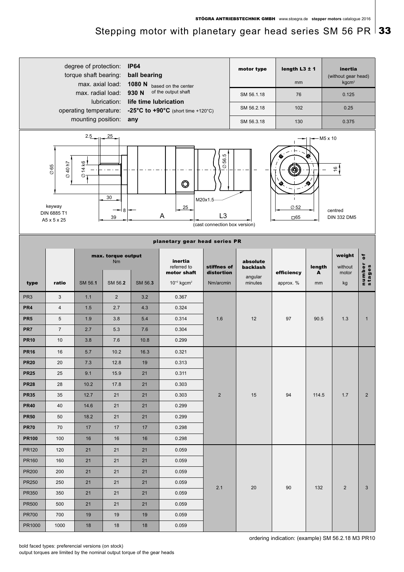## Stepping motor with planetary gear head series SM 56 PR  $\vert$  33

|                 |                                                                   | degree of protection:<br>torque shaft bearing:<br>max. axial load:<br>max. radial load: |                                       | <b>IP64</b><br>ball bearing<br>1080 N<br>930 N | based on the center<br>of the output shaft                                      |                           | motor type                         | length $L3 \pm 1$<br>mm |                                                | inertia<br>(without gear head)<br>kgcm <sup>2</sup> |                     |
|-----------------|-------------------------------------------------------------------|-----------------------------------------------------------------------------------------|---------------------------------------|------------------------------------------------|---------------------------------------------------------------------------------|---------------------------|------------------------------------|-------------------------|------------------------------------------------|-----------------------------------------------------|---------------------|
|                 |                                                                   |                                                                                         | life time lubrication<br>lubrication: | SM 56.1.18<br>76                               |                                                                                 |                           | 0.125                              |                         |                                                |                                                     |                     |
|                 |                                                                   | operating temperature:                                                                  |                                       | -25°C to $+90^{\circ}$ C (short time +120°C)   |                                                                                 |                           | 102<br>SM 56.2.18                  |                         |                                                |                                                     |                     |
|                 |                                                                   | mounting position:                                                                      |                                       | any                                            |                                                                                 | SM 56.3.18                | 130                                |                         | 0.375                                          |                                                     |                     |
|                 |                                                                   | $2.5 - 25$                                                                              |                                       |                                                |                                                                                 |                           |                                    | $-$ M5 x 10             |                                                |                                                     |                     |
|                 | 640h7<br>$\varnothing$ 65<br>keyway<br>DIN 6885 T1<br>A5 x 5 x 25 | <u>ତ ।</u><br>$\overline{4}$<br>$\varnothing$                                           | 30<br>8<br>39                         |                                                | 56.5<br>$\oslash$<br>M20x1.5<br>L <sub>3</sub><br>(cast connection box version) |                           | О<br>$\varnothing$ 52<br>$\Box 65$ |                         | $\frac{1}{2}$<br>centred<br><b>DIN 332 DM5</b> |                                                     |                     |
|                 |                                                                   |                                                                                         |                                       | planetary gear head series PR                  |                                                                                 |                           |                                    |                         |                                                |                                                     |                     |
|                 |                                                                   |                                                                                         | max. torque output<br><b>Nm</b>       |                                                | inertia<br>referred to<br>motor shaft                                           | stiffnes of<br>distortion | absolute<br>backlash               | efficiency              | length<br>A                                    | weight<br>without<br>motor                          | number of<br>stages |
| type            | ratio                                                             | SM 56.1                                                                                 | SM 56.2                               | SM 56.3                                        | $10^{-2}$ kgcm <sup>2</sup>                                                     | Nm/arcmin                 | angular<br>minutes                 | approx. %               | mm                                             | kg                                                  |                     |
| PR <sub>3</sub> | 3                                                                 | 1.1                                                                                     | $\sqrt{2}$                            | 3.2                                            | 0.367                                                                           |                           |                                    |                         |                                                |                                                     |                     |
| PR <sub>4</sub> | $\overline{\mathbf{4}}$                                           | 1.5                                                                                     | 2.7                                   | 4.3                                            | 0.324                                                                           |                           |                                    |                         |                                                |                                                     |                     |
| PR <sub>5</sub> | $\overline{5}$                                                    | 1.9                                                                                     | 3.8                                   | 5.4                                            | 0.314                                                                           | 1.6                       | 12                                 | 97                      | 90.5                                           | 1.3                                                 | $\mathbf{1}$        |
| PR7             | $\overline{7}$                                                    | 2.7                                                                                     | 5.3                                   | 7.6                                            | 0.304                                                                           |                           |                                    |                         |                                                |                                                     |                     |
| <b>PR10</b>     | 10                                                                | 3.8                                                                                     | 7.6                                   | 10.8                                           | 0.299                                                                           |                           |                                    |                         |                                                |                                                     |                     |
| <b>PR16</b>     | 16                                                                | 5.7                                                                                     | 10.2                                  | 16.3                                           | 0.321                                                                           |                           |                                    |                         |                                                |                                                     |                     |
| <b>PR20</b>     | 20                                                                | 7.3                                                                                     | 12.8                                  | 19                                             | 0.313                                                                           |                           |                                    |                         |                                                |                                                     |                     |
| <b>PR25</b>     | 25                                                                | 9.1                                                                                     | 15.9                                  | 21                                             | 0.311                                                                           |                           |                                    |                         |                                                |                                                     |                     |
| <b>PR28</b>     | 28                                                                | 10.2                                                                                    | 17.8                                  | 21                                             | 0.303                                                                           |                           |                                    |                         |                                                |                                                     |                     |
| <b>PR35</b>     | 35                                                                | 12.7                                                                                    | 21                                    | 21                                             | 0.303                                                                           | $\overline{2}$            | 15                                 | 94                      | 114.5                                          | 1.7                                                 | $\overline{2}$      |
| <b>PR40</b>     | 40                                                                | 14.6                                                                                    | 21                                    | 21                                             | 0.299                                                                           |                           |                                    |                         |                                                |                                                     |                     |
| <b>PR50</b>     | 50                                                                | 18.2                                                                                    | 21                                    | 21                                             | 0.299                                                                           |                           |                                    |                         |                                                |                                                     |                     |
| <b>PR70</b>     | 70                                                                | 17                                                                                      | 17                                    | 17                                             | 0.298                                                                           |                           |                                    |                         |                                                |                                                     |                     |
| <b>PR100</b>    | 100                                                               | 16                                                                                      | 16                                    | 16                                             | 0.298                                                                           |                           |                                    |                         |                                                |                                                     |                     |
| <b>PR120</b>    | 120                                                               | 21                                                                                      | 21                                    | 21                                             | 0.059                                                                           |                           |                                    |                         |                                                |                                                     |                     |
| PR160           | 160                                                               | 21                                                                                      | 21                                    | 21                                             | 0.059                                                                           |                           |                                    |                         |                                                |                                                     |                     |
| <b>PR200</b>    | 200                                                               | 21                                                                                      | 21                                    | 21                                             | 0.059                                                                           |                           |                                    |                         |                                                |                                                     |                     |
| <b>PR250</b>    | 250                                                               | 21                                                                                      | 21                                    | 21                                             | 0.059                                                                           | 2.1                       | 20                                 | 90                      | 132                                            | $\overline{2}$                                      | 3                   |
| PR350           | 350                                                               | 21                                                                                      | 21                                    | 21                                             | 0.059                                                                           |                           |                                    |                         |                                                |                                                     |                     |
| <b>PR500</b>    | 500                                                               | 21                                                                                      | 21                                    | 21                                             | 0.059                                                                           |                           |                                    |                         |                                                |                                                     |                     |
| <b>PR700</b>    | 700                                                               | 19                                                                                      | 19                                    | 19                                             | 0.059                                                                           |                           |                                    |                         |                                                |                                                     |                     |
| PR1000          | 1000                                                              | 18                                                                                      | 18                                    | 18                                             | 0.059                                                                           |                           |                                    |                         |                                                |                                                     |                     |

ordering indication: (example) SM 56.2.18 M3 PR10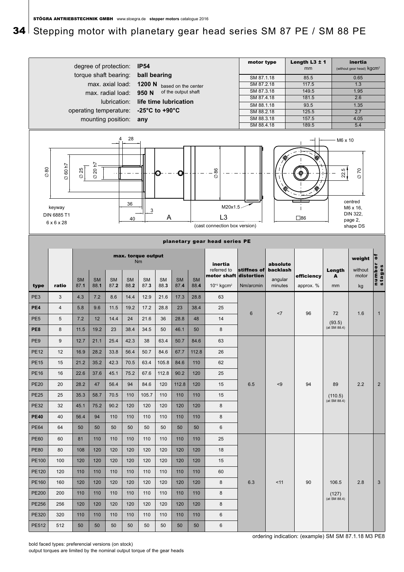## 34 Stepping motor with planetary gear head series SM 87 PE / SM 88 PE



output torques are limited by the nominal output torque of the gear heads

ordering indication: (example) SM SM 87.1.18 M3 PE8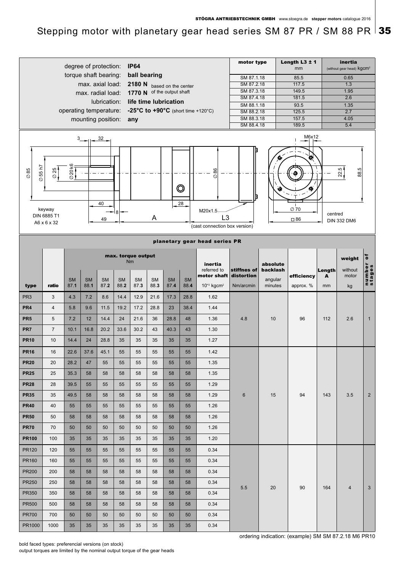Stepping motor with planetary gear head series SM 87 PR / SM 88 PR  $\vert$  35

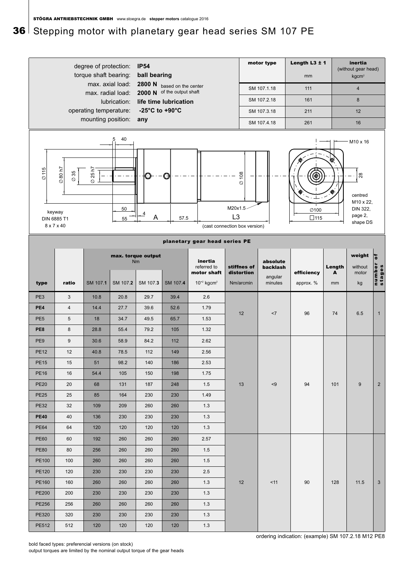## 36 Stepping motor with planetary gear head series SM 107 PE

|                              |                                                             | degree of protection:<br>torque shaft bearing:<br>max. axial load:<br>max. radial load: |                     | <b>IP54</b><br>ball bearing<br>2800 N | based on the center<br>2000 N of the output shaft |                                       |                           |                           | motor type<br>SM 107.1.18       | Length $L3 \pm 1$<br>mm<br>111 |             | inertia<br>(without gear head)<br>kgcm <sup>2</sup><br>$\overline{4}$     |                       |
|------------------------------|-------------------------------------------------------------|-----------------------------------------------------------------------------------------|---------------------|---------------------------------------|---------------------------------------------------|---------------------------------------|---------------------------|---------------------------|---------------------------------|--------------------------------|-------------|---------------------------------------------------------------------------|-----------------------|
|                              |                                                             |                                                                                         | lubrication:        |                                       | life time lubrication                             |                                       |                           |                           | SM 107.2.18                     | 161                            |             | 8                                                                         |                       |
|                              |                                                             | operating temperature:<br>mounting position:                                            |                     | -25°C to +90°C<br>any                 |                                                   |                                       |                           |                           | SM 107.3.18                     | 211                            |             | 12                                                                        |                       |
|                              |                                                             |                                                                                         |                     |                                       |                                                   |                                       |                           |                           | SM 107.4.18                     | 261                            |             | 16                                                                        |                       |
| $\oslash$ 115<br>DIN 6885 T1 | $\oslash$ 80 h7<br>$\varnothing$ 35<br>keyway<br>8 x 7 x 40 | 25 h7<br>$\varnothing$                                                                  | 40<br>5<br>50<br>55 | $\overline{4}$<br>A                   | O<br>57.5                                         | (cast connection box version)         | M20x1.5<br>L <sub>3</sub> | $\varnothing$ 108         |                                 | ∅100<br>$\square$ 115          | ⋒           | M10 x 16<br>28<br>centred<br>M10 x 22,<br>DIN 322,<br>page 2,<br>shape DS |                       |
|                              |                                                             |                                                                                         |                     |                                       |                                                   | planetary gear head series PE         |                           |                           |                                 |                                |             |                                                                           |                       |
|                              |                                                             |                                                                                         |                     | max. torque output<br><b>Nm</b>       |                                                   | inertia<br>referred to<br>motor shaft |                           | stiffnes of<br>distortion | absolute<br>backlash<br>angular | efficiency                     | Length<br>A | weight<br>without<br>motor                                                | ō<br>number<br>stages |
| type                         | ratio                                                       | SM 107.1                                                                                | SM 107.2            | SM 107.3                              | SM 107.4                                          | $10^{-2}$ kgcm <sup>2</sup>           |                           | Nm/arcmin                 | minutes                         | approx. %                      | mm          | kg                                                                        |                       |
| PE3                          | $\sqrt{3}$                                                  | 10.8                                                                                    | 20.8                | 29.7                                  | 39.4                                              | 2.6                                   |                           |                           |                                 |                                |             |                                                                           |                       |
| PE4                          | $\overline{4}$                                              | 14.4                                                                                    | 27.7                | 39.6                                  | 52.6                                              | 1.79                                  |                           |                           |                                 |                                |             |                                                                           |                       |
| PE <sub>5</sub>              | 5                                                           | 18                                                                                      | 34.7                | 49.5                                  | 65.7                                              | 1.53                                  |                           | 12                        | <7                              | 96                             | 74          | 6.5                                                                       | $\mathbf{1}$          |
| PE8                          | $\bf 8$                                                     | 28.8                                                                                    | 55.4                | 79.2                                  | 105                                               | 1.32                                  |                           |                           |                                 |                                |             |                                                                           |                       |
| PE <sub>9</sub>              | $9\,$                                                       | 30.6                                                                                    | 58.9                | 84.2                                  | 112                                               | 2.62                                  |                           |                           |                                 |                                |             |                                                                           |                       |
| <b>PE12</b>                  | 12                                                          | 40.8                                                                                    | 78.5                | 112                                   | 149                                               | 2.56                                  |                           |                           |                                 |                                |             |                                                                           |                       |
| <b>PE15</b>                  | 15                                                          | 51                                                                                      | 98.2                | 140                                   | 186                                               | 2.53                                  |                           |                           |                                 |                                |             |                                                                           |                       |
| <b>PE16</b>                  | 16                                                          | 54.4                                                                                    | 105                 | 150                                   | 198                                               | 1.75                                  |                           |                           |                                 |                                |             |                                                                           |                       |
| <b>PE20</b>                  | 20                                                          | 68                                                                                      | 131                 | 187                                   | 248                                               | 1.5                                   |                           | 13                        | < 9                             | 94                             | 101         | $9\,$                                                                     | $\overline{2}$        |
| <b>PE25</b>                  | 25                                                          | 85                                                                                      | 164                 | 230                                   | 230                                               | 1.49                                  |                           |                           |                                 |                                |             |                                                                           |                       |
| <b>PE32</b>                  | 32                                                          | 109                                                                                     | 209                 | 260                                   | 260                                               | 1.3                                   |                           |                           |                                 |                                |             |                                                                           |                       |
| <b>PE40</b>                  | 40                                                          | 136                                                                                     | 230                 | 230                                   | 230                                               | 1.3                                   |                           |                           |                                 |                                |             |                                                                           |                       |
| <b>PE64</b>                  | 64                                                          | 120                                                                                     | 120                 | 120                                   | 120                                               | 1.3                                   |                           |                           |                                 |                                |             |                                                                           |                       |
| <b>PE60</b>                  | 60                                                          | 192                                                                                     | 260                 | 260                                   | 260                                               | 2.57                                  |                           |                           |                                 |                                |             |                                                                           |                       |
| <b>PE80</b>                  | 80                                                          | 256                                                                                     | 260                 | 260                                   | 260                                               | 1.5                                   |                           |                           |                                 |                                |             |                                                                           |                       |
| PE100                        | 100                                                         | 260                                                                                     | 260                 | 260                                   | 260                                               | 1.5                                   |                           |                           |                                 |                                |             |                                                                           |                       |
| PE120                        | 120                                                         | 230                                                                                     | 230                 | 230                                   | 230                                               | 2.5                                   |                           |                           |                                 |                                |             |                                                                           |                       |
| PE160                        | 160                                                         | 260                                                                                     | 260                 | 260                                   | 260                                               | 1.3                                   |                           | 12                        | $11$                            | 90                             | 128         | 11.5                                                                      | $\mathbf{3}$          |
| PE200                        | 200                                                         | 230                                                                                     | 230                 | 230                                   | 230                                               | 1.3                                   |                           |                           |                                 |                                |             |                                                                           |                       |
| PE256                        | 256                                                         | 260                                                                                     | 260                 | 260                                   | 260                                               | 1.3                                   |                           |                           |                                 |                                |             |                                                                           |                       |
| PE320                        | 320                                                         | 230                                                                                     | 230                 | 230                                   | 230                                               | 1.3                                   |                           |                           |                                 |                                |             |                                                                           |                       |
| PE512                        | 512                                                         | 120                                                                                     | 120                 | 120                                   | 120                                               | 1.3                                   |                           |                           |                                 |                                |             |                                                                           |                       |

output torques are limited by the nominal output torque of the gear heads

ordering indication: (example) SM 107.2.18 M12 PE8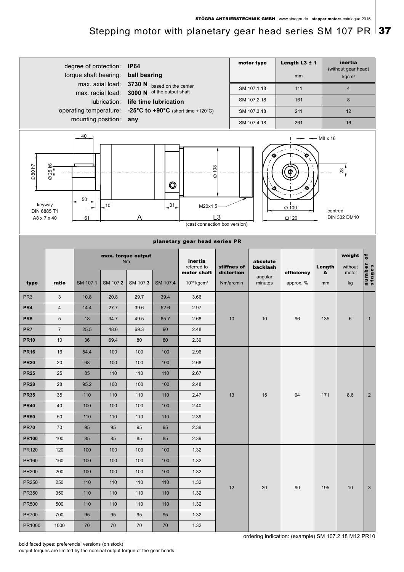## Stepping motor with planetary gear head series SM 107 PR  $\vert$  37

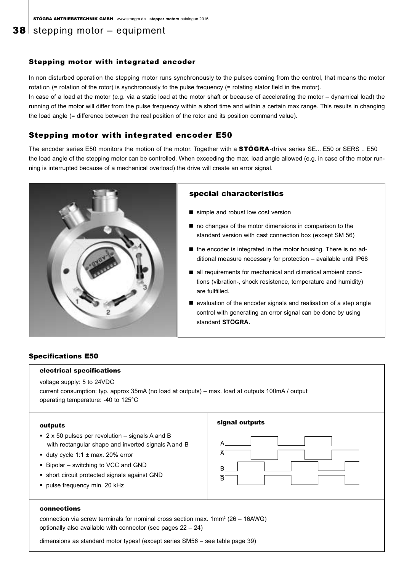### **38** stepping motor  $-$  equipment

#### Stepping motor with integrated encoder

In non disturbed operation the stepping motor runs synchronously to the pulses coming from the control, that means the motor rotation (= rotation of the rotor) is synchronously to the pulse frequency (= rotating stator field in the motor).

In case of a load at the motor (e.g. via a static load at the motor shaft or because of accelerating the motor – dynamical load) the running of the motor will differ from the pulse frequency within a short time and within a certain max range. This results in changing the load angle (= difference between the real position of the rotor and its position command value).

#### Stepping motor with integrated encoder E50

The encoder series E50 monitors the motion of the motor. Together with a STÖGRA-drive series SE... E50 or SERS .. E50 the load angle of the stepping motor can be controlled. When exceeding the max. load angle allowed (e.g. in case of the motor running is interrupted because of a mechanical overload) the drive will create an error signal.



#### special characteristics

simple and robust low cost version

signal outputs

- $\blacksquare$  no changes of the motor dimensions in comparison to the standard version with cast connection box (except SM 56)
- the encoder is integrated in the motor housing. There is no additional measure necessary for protection – available until IP68
- all requirements for mechanical and climatical ambient condtions (vibration-, shock resistence, temperature and humidity) are fullfilled.
- evaluation of the encoder signals and realisation of a step angle control with generating an error signal can be done by using standard **STÖGRA.**

#### Specifications E50

#### electrical specifications

voltage supply: 5 to 24VDC

current consumption: typ. approx 35mA (no load at outputs) – max. load at outputs 100mA / output operating temperature: -40 to 125°C

#### outputs

- 2 x 50 pulses per revolution signals A and B with rectangular shape and inverted signals Aand B
- duty cycle 1:1  $\pm$  max. 20% error
- Bipolar switching to VCC and GND
- short circuit protected signals against GND
- pulse frequency min. 20 kHz

| B |  |
|---|--|
| Ē |  |

#### connections

connection via screw terminals for nominal cross section max.  $1mm^2$  (26 – 16AWG) optionally also available with connector (see pages 22 – 24)

dimensions as standard motor types! (except series SM56 – see table page 39)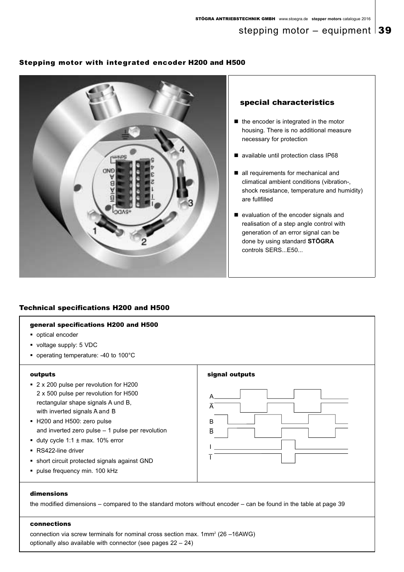#### Stepping motor with integrated encoder H200 and H500



#### special characteristics

- the encoder is integrated in the motor housing. There is no additional measure necessary for protection
- available until protection class IP68
- all requirements for mechanical and climatical ambient conditions (vibration-, shock resistance, temperature and humidity) are fullfilled
- evaluation of the encoder signals and realisation of a step angle control with generation of an error signal can be done by using standard **STÖGRA** controls SERS...E50...

### Technical specifications H200 and H500

#### general specifications H200 and H500

- optical encoder
- voltage supply: 5 VDC
- operating temperature: -40 to 100°C

#### outputs

- 2 x 200 pulse per revolution for H200 2 x 500 pulse per revolution for H500 rectangular shape signals A und B, with inverted signals A and B
- H200 and H500: zero pulse and inverted zero pulse – 1 pulse per revolution
- duty cycle 1:1  $\pm$  max. 10% error
- RS422-line driver
- short circuit protected signals against GND
- pulse frequency min. 100 kHz



#### dimensions

the modified dimensions – compared to the standard motors without encoder – can be found in the table at page 39

#### connections

connection via screw terminals for nominal cross section max. 1mm<sup>2</sup> (26 –16AWG) optionally also available with connector (see pages 22 – 24)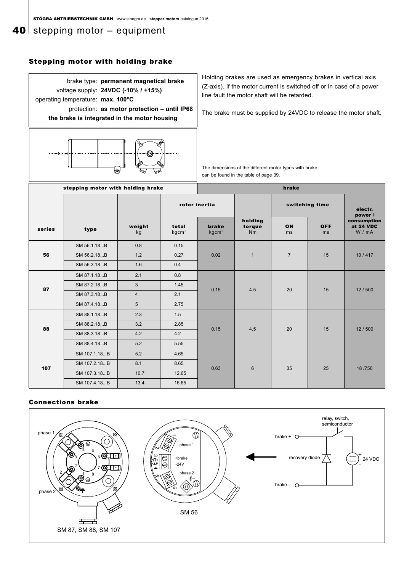### **40** stepping motor  $-$  equipment

#### Stepping motor with holding brake



#### Connections brake

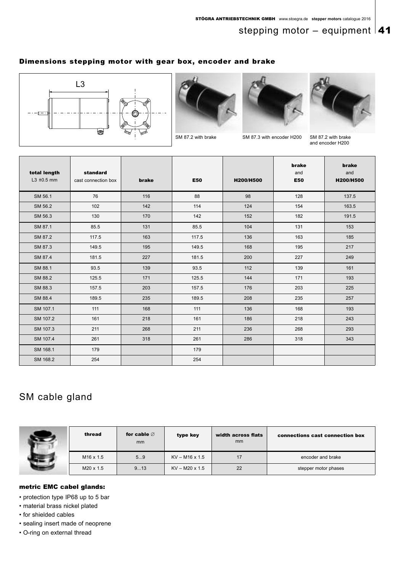### stepping motor – equipment  $|41$

### Dimensions stepping motor with gear box, encoder and brake







SM 87.2 with brake SM 87.3 with encoder H200 SM 87.2 with brake



and encoder H200

| total length<br>$L3 \pm 0.5$ mm | standard<br>cast connection box | brake | <b>E50</b> | H200/H500 | brake<br>and<br><b>E50</b> | brake<br>and<br>H200/H500 |
|---------------------------------|---------------------------------|-------|------------|-----------|----------------------------|---------------------------|
| SM 56.1                         | 76                              | 116   | 88         | 98        | 128                        | 137.5                     |
| SM 56.2                         | 102                             | 142   | 114        | 124       | 154                        | 163.5                     |
| SM 56.3                         | 130                             | 170   | 142        | 152       | 182                        | 191.5                     |
| SM 87.1                         | 85.5                            | 131   | 85.5       | 104       | 131                        | 153                       |
| SM 87.2                         | 117.5                           | 163   | 117.5      | 136       | 163                        | 185                       |
| SM 87.3                         | 149.5                           | 195   | 149.5      | 168       | 195                        | 217                       |
| SM 87.4                         | 181.5                           | 227   | 181.5      | 200       | 227                        | 249                       |
| SM 88.1                         | 93.5                            | 139   | 93.5       | 112       | 139                        | 161                       |
| SM 88.2                         | 125.5                           | 171   | 125.5      | 144       | 171                        | 193                       |
| SM 88.3                         | 157.5                           | 203   | 157.5      | 176       | 203                        | 225                       |
| SM 88.4                         | 189.5                           | 235   | 189.5      | 208       | 235                        | 257                       |
| SM 107.1                        | 111                             | 168   | 111        | 136       | 168                        | 193                       |
| SM 107.2                        | 161                             | 218   | 161        | 186       | 218                        | 243                       |
| SM 107.3                        | 211                             | 268   | 211        | 236       | 268                        | 293                       |
| SM 107.4                        | 261                             | 318   | 261        | 286       | 318                        | 343                       |
| SM 168.1                        | 179                             |       | 179        |           |                            |                           |
| SM 168.2                        | 254                             |       | 254        |           |                            |                           |

### SM cable gland



| thread           | for cable $\varnothing$<br>mm | type key              | width across flats<br><sub>mm</sub> | connections cast connection box |
|------------------|-------------------------------|-----------------------|-------------------------------------|---------------------------------|
| $M16 \times 1.5$ | 59                            | $KV - M16 \times 1.5$ | 17                                  | encoder and brake               |
| $M20 \times 1.5$ | 913                           | $KV - M20 \times 1.5$ | 22                                  | stepper motor phases            |

#### metric EMC cabel glands:

• protection type IP68 up to 5 bar

• material brass nickel plated

• for shielded cables

• sealing insert made of neoprene

• O-ring on external thread